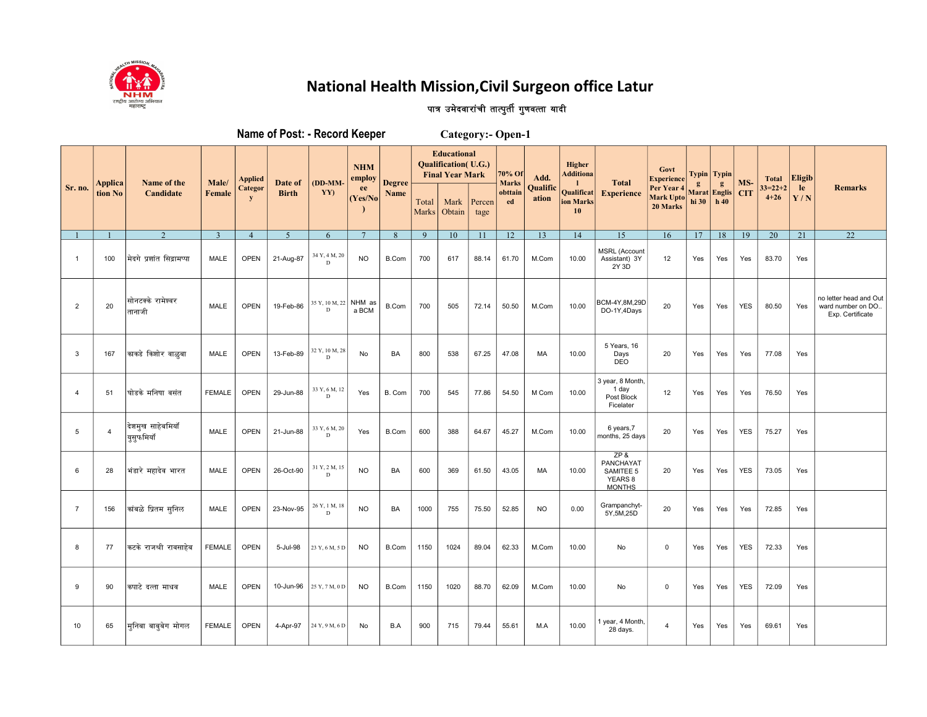

## National Health Mission, Civil Surgeon office Latur

## पात्र उमेदवारांची तात्पुर्ती गुणवत्ता यादी

|                |                |                                             |                |                      | Name of Post: - Record Keeper |                          | <b>Category:- Open-1</b> |               |                       |                                                                                      |                |                        |                   |                               |                                                              |                                            |              |                              |            |                       |           |                                                                 |
|----------------|----------------|---------------------------------------------|----------------|----------------------|-------------------------------|--------------------------|--------------------------|---------------|-----------------------|--------------------------------------------------------------------------------------|----------------|------------------------|-------------------|-------------------------------|--------------------------------------------------------------|--------------------------------------------|--------------|------------------------------|------------|-----------------------|-----------|-----------------------------------------------------------------|
|                | <b>Applica</b> | Name of the                                 | Male/          | Applied              | Date of                       | (DD-MM-                  | <b>NHM</b><br>employ     | <b>Degree</b> |                       | <b>Educational</b><br><b>Qualification</b> ( <i>U.G.</i> )<br><b>Final Year Mark</b> |                | 70% Of<br><b>Marks</b> | Add.              | Higher<br><b>Additiona</b>    | <b>Total</b>                                                 | Govt<br>Experience                         | $\mathbf{g}$ | Typin   Typin<br>$g_{\rm s}$ | MS-        | <b>Total</b>          | Eligib    |                                                                 |
| Sr. no.        | tion No        | Candidate                                   | Female         | Categor<br>${\bf y}$ | <b>Birth</b>                  | YY)                      | ee<br>(Yes/No)           | <b>Name</b>   | Total<br><b>Marks</b> | Mark<br>Obtain                                                                       | Percen<br>tage | obttain<br>ed          | Qualific<br>ation | Qualificat<br>ion Marks<br>10 | <b>Experience</b>                                            | Per Year 4<br><b>Mark Upto</b><br>20 Marks | hi 30        | <b>Marat</b> Englis<br>h40   | <b>CIT</b> | $33=22+2$<br>$4 + 26$ | le<br>Y/N | <b>Remarks</b>                                                  |
|                |                | 2                                           | $\overline{3}$ | $\overline{4}$       | 5                             | 6                        | $7\phantom{.0}$          | 8             | 9                     | 10                                                                                   | 11             | 12                     | 13                | 14                            | 15                                                           | 16                                         | 17           | 18                           | 19         | $\overline{20}$       | 21        | 22                                                              |
| $\mathbf{1}$   | 100            | मेदगे प्रशांत सिद्रामप्पा                   | <b>MALE</b>    | OPEN                 | 21-Aug-87                     | 34 Y, 4 M, 20<br>D       | <b>NO</b>                | B.Com         | 700                   | 617                                                                                  | 88.14          | 61.70                  | M.Com             | 10.00                         | <b>MSRL (Account</b><br>Assistant) 3Y<br>2Y 3D               | 12                                         | Yes          | Yes                          | Yes        | 83.70                 | Yes       |                                                                 |
| $\overline{2}$ | 20             | सोनटक्के रामेश्वर<br>तानाजी                 | <b>MALE</b>    | <b>OPEN</b>          | 19-Feb-86                     | 35 Y, 10 M, 22<br>D      | NHM as<br>a BCM          | B.Com         | 700                   | 505                                                                                  | 72.14          | 50.50                  | M.Com             | 10.00                         | BCM-4Y,8M,29D<br>DO-1Y,4Days                                 | 20                                         | Yes          | Yes                          | <b>YES</b> | 80.50                 | Yes       | no letter head and Ou<br>ward number on DO.<br>Exp. Certificate |
| 3              | 167            | काकडे किशोर वाळुबा                          | MALE           | <b>OPEN</b>          | 13-Feb-89                     | 32 Y, 10 M, 28<br>D.     | <b>No</b>                | BA            | 800                   | 538                                                                                  | 67.25          | 47.08                  | MA                | 10.00                         | 5 Years, 16<br>Days<br><b>DEO</b>                            | 20                                         | Yes          | Yes                          | Yes        | 77.08                 | Yes       |                                                                 |
| $\overline{4}$ | 51             | घोडके मनिषा वसंत                            | <b>FEMALE</b>  | <b>OPEN</b>          | 29-Jun-88                     | $33$ Y, $6$ M, $12$<br>D | Yes                      | B. Com        | 700                   | 545                                                                                  | 77.86          | 54.50                  | M Com             | 10.00                         | 3 year, 8 Month,<br>1 day<br>Post Block<br>Ficelater         | 12                                         | Yes          | Yes                          | Yes        | 76.50                 | Yes       |                                                                 |
| 5              | $\overline{4}$ | देशमुख साहेबमियॉ<br><sup>।</sup> युसुफमियाँ | <b>MALE</b>    | <b>OPEN</b>          | 21-Jun-88                     | 33 Y, 6 M, 20<br>D       | Yes                      | B.Com         | 600                   | 388                                                                                  | 64.67          | 45.27                  | M.Com             | 10.00                         | 6 years, 7<br>months, 25 days                                | 20                                         | Yes          | Yes                          | <b>YES</b> | 75.27                 | Yes       |                                                                 |
| 6              | 28             | भंडारे महादेव भारत                          | MALE           | <b>OPEN</b>          | 26-Oct-90                     | 31 Y, 2 M, 15<br>D       | <b>NO</b>                | BA            | 600                   | 369                                                                                  | 61.50          | 43.05                  | MA                | 10.00                         | $ZP$ &<br>PANCHAYAT<br>SAMITEE 5<br>YEARS 8<br><b>MONTHS</b> | 20                                         | Yes          | Yes                          | <b>YES</b> | 73.05                 | Yes       |                                                                 |
| $\overline{7}$ | 156            | कांबळे प्रितम सूनिल                         | MALE           | <b>OPEN</b>          | 23-Nov-95                     | 26 Y, 1 M, 18<br>D       | <b>NO</b>                | BA            | 1000                  | 755                                                                                  | 75.50          | 52.85                  | <b>NO</b>         | 0.00                          | Grampanchyt-<br>5Y, 5M, 25D                                  | 20                                         | Yes          | Yes                          | Yes        | 72.85                 | Yes       |                                                                 |
| 8              | 77             | कटके राजश्री रावसाहेब                       | <b>FEMALE</b>  | <b>OPEN</b>          | 5-Jul-98                      | 23 Y, 6 M, 5 D           | <b>NO</b>                | B.Com         | 1150                  | 1024                                                                                 | 89.04          | 62.33                  | M.Com             | 10.00                         | No                                                           | 0                                          | Yes          | Yes                          | <b>YES</b> | 72.33                 | Yes       |                                                                 |
| 9              | 90             | कपाटे दत्ता माधव                            | MALE           | <b>OPEN</b>          | 10-Jun-96                     | 25 Y, 7 M, 0 D           | <b>NO</b>                | B.Com         | 1150                  | 1020                                                                                 | 88.70          | 62.09                  | M.Com             | 10.00                         | No                                                           | 0                                          | Yes          | Yes                          | <b>YES</b> | 72.09                 | Yes       |                                                                 |
| 10             | 65             | मुनिबा बाबुबेग मोगल                         | <b>FEMALE</b>  | <b>OPEN</b>          | 4-Apr-97                      | 24 Y, 9 M, 6 D           | No                       | B.A           | 900                   | 715                                                                                  | 79.44          | 55.61                  | M.A               | 10.00                         | 1 year, 4 Month,<br>28 days.                                 | $\overline{4}$                             | Yes          | Yes                          | Yes        | 69.61                 | Yes       |                                                                 |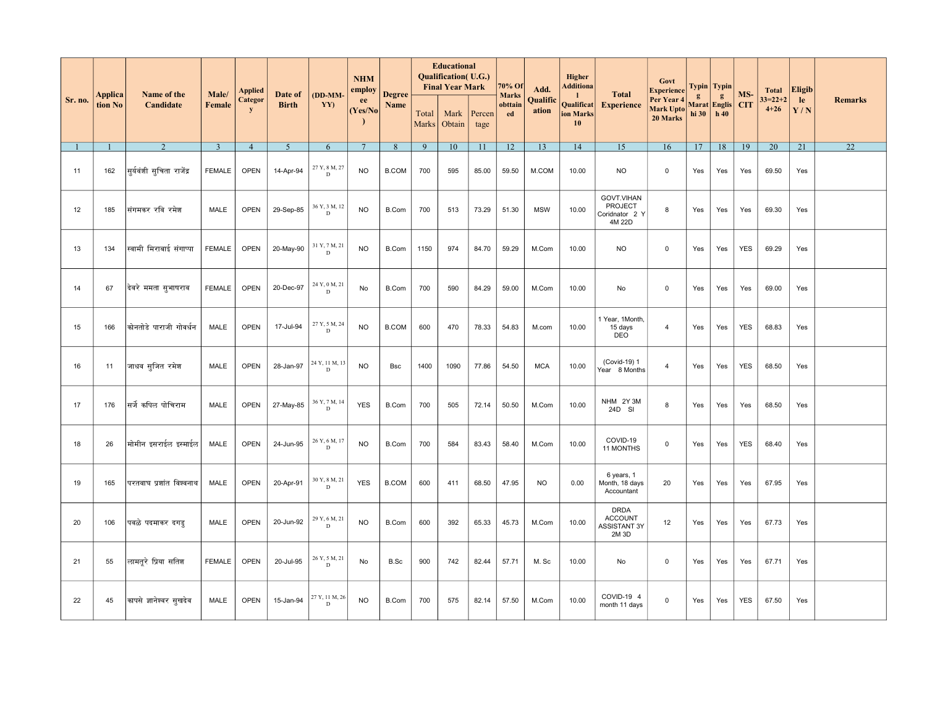|         |                           |                           |                 | <b>Applied</b>       |                         |                               | <b>NHM</b><br>employ |                       |                | <b>Educational</b><br><b>Qualification</b> (U.G.)<br><b>Final Year Mark</b> |                | 70% Of                        | Add.              | <b>Higher</b><br><b>Additiona</b>   |                                                               | Govt<br><b>Experience</b>           |                                       | Typin   Typin |            | <b>Total</b>              | <b>Eligib</b> |                |
|---------|---------------------------|---------------------------|-----------------|----------------------|-------------------------|-------------------------------|----------------------|-----------------------|----------------|-----------------------------------------------------------------------------|----------------|-------------------------------|-------------------|-------------------------------------|---------------------------------------------------------------|-------------------------------------|---------------------------------------|---------------|------------|---------------------------|---------------|----------------|
| Sr. no. | <b>Applica</b><br>tion No | Name of the<br>Candidate  | Male/<br>Female | Categor<br>${\bf y}$ | Date of<br><b>Birth</b> | (DD-MM-<br>YY)                | ee<br>(Yes/No)       | <b>Degree</b><br>Name | Total<br>Marks | Mark<br>Obtain                                                              | Percen<br>tage | <b>Marks</b><br>obttain<br>ed | Qualific<br>ation | -1<br>Qualificat<br>ion Marks<br>10 | <b>Total</b><br><b>Experience</b>                             | Per Year 4<br>Mark Upto<br>20 Marks | g<br>Marat Englis CIT<br>hi 30   h 40 | g             | MS-        | $33 = 22 + 2$<br>$4 + 26$ | le<br>Y/N     | <b>Remarks</b> |
|         | $\overline{1}$            | 2                         | $\overline{3}$  | $\overline{4}$       | 5 <sup>5</sup>          | 6                             | $7\overline{ }$      | 8                     | 9              | 10                                                                          | 11             | 12                            | 13                | 14                                  | 15                                                            | 16                                  | 17                                    | 18            | 19         | 20                        | 21            | 22             |
| 11      | 162                       | सूर्यवंशी सूचिता राजेंद्र | <b>FEMALE</b>   | <b>OPEN</b>          | 14-Apr-94               | 27 Y, 8 M, 27<br>D            | <b>NO</b>            | <b>B.COM</b>          | 700            | 595                                                                         | 85.00          | 59.50                         | M.COM             | 10.00                               | <b>NO</b>                                                     | $\mathbf{0}$                        | Yes                                   | Yes           | Yes        | 69.50                     | Yes           |                |
| 12      | 185                       | संगमकर रवि रमेश           | <b>MALE</b>     | <b>OPEN</b>          | 29-Sep-85               | $36$ Y, $3$ M, $12$ D         | <b>NO</b>            | B.Com                 | 700            | 513                                                                         | 73.29          | 51.30                         | <b>MSW</b>        | 10.00                               | GOVT.VIHAN<br>PROJECT<br>Coridnator 2 Y<br>4M 22D             | 8                                   | Yes                                   | Yes           | Yes        | 69.30                     | Yes           |                |
| 13      | 134                       | स्वामी मिराबाई संगाप्पा   | <b>FEMALE</b>   | <b>OPEN</b>          | 20-May-90               | 31 Y, 7 M, 21<br>$\mathbf D$  | <b>NO</b>            | B.Com                 | 1150           | 974                                                                         | 84.70          | 59.29                         | M.Com             | 10.00                               | <b>NO</b>                                                     | $\mathbf 0$                         | Yes                                   | Yes           | <b>YES</b> | 69.29                     | Yes           |                |
| 14      | 67                        | दिवरे ममता सुभाषराव       | <b>FEMALE</b>   | <b>OPEN</b>          | 20-Dec-97               | 24 Y, 0 M, 21<br>D            | No                   | <b>B.Com</b>          | 700            | 590                                                                         | 84.29          | 59.00                         | M.Com             | 10.00                               | No                                                            | $\mathbf 0$                         | Yes                                   | Yes           | Yes        | 69.00                     | Yes           |                |
| 15      | 166                       | कोनतोडे पाराजी गोवर्धन    | <b>MALE</b>     | <b>OPEN</b>          | 17-Jul-94               | 27 Y, 5 M, 24<br>D            | <b>NO</b>            | <b>B.COM</b>          | 600            | 470                                                                         | 78.33          | 54.83                         | M.com             | 10.00                               | 1 Year, 1Month,<br>15 days<br><b>DEO</b>                      | $\overline{4}$                      | Yes                                   | Yes           | <b>YES</b> | 68.83                     | Yes           |                |
| 16      | 11                        | जाधव सुजित रमेश           | MALE            | <b>OPEN</b>          | 28-Jan-97               | 24 Y, 11 M, 13<br>D           | <b>NO</b>            | <b>Bsc</b>            | 1400           | 1090                                                                        | 77.86          | 54.50                         | <b>MCA</b>        | 10.00                               | (Covid-19) 1<br>Year 8 Months                                 | $\overline{4}$                      | Yes                                   | Yes           | <b>YES</b> | 68.50                     | Yes           |                |
| 17      | 176                       | सर्जे कपिल पोचिराम        | <b>MALE</b>     | <b>OPEN</b>          | 27-May-85               | 36 Y, 7 M, 14<br>$\mathbf D$  | <b>YES</b>           | <b>B.Com</b>          | 700            | 505                                                                         | 72.14          | 50.50                         | M.Com             | 10.00                               | NHM 2Y3M<br>24D SI                                            | 8                                   | Yes                                   | Yes           | Yes        | 68.50                     | Yes           |                |
| 18      | 26                        | मोमीन इसराईल इस्माईल      | MALE            | <b>OPEN</b>          | 24-Jun-95               | 26 Y, 6 M, 17<br>$\mathbf D$  | <b>NO</b>            | B.Com                 | 700            | 584                                                                         | 83.43          | 58.40                         | M.Com             | 10.00                               | COVID-19<br>11 MONTHS                                         | $\mathbf 0$                         | Yes                                   | Yes           | <b>YES</b> | 68.40                     | Yes           |                |
| 19      | 165                       | परतवाघ प्रशांत विश्वनाथ   | MALE            | <b>OPEN</b>          | 20-Apr-91               | 30 Y, 8 M, 21<br>D            | <b>YES</b>           | <b>B.COM</b>          | 600            | 411                                                                         | 68.50          | 47.95                         | <b>NO</b>         | 0.00                                | 6 years, 1<br>Month, 18 days<br>Accountant                    | 20                                  | Yes                                   | Yes           | Yes        | 67.95                     | Yes           |                |
| 20      | 106                       | पवळे पदमाकर दगड           | MALE            | <b>OPEN</b>          | 20-Jun-92               | 29 Y, 6 M, 21<br>$\mathbf{D}$ | <b>NO</b>            | B.Com                 | 600            | 392                                                                         | 65.33          | 45.73                         | M.Com             | 10.00                               | <b>DRDA</b><br><b>ACCOUNT</b><br><b>ASSISTANT 3Y</b><br>2M 3D | 12                                  | Yes                                   | Yes           | Yes        | 67.73                     | Yes           |                |
| 21      | 55                        | लामतूरे प्रिया सतिश       | <b>FEMALE</b>   | <b>OPEN</b>          | 20-Jul-95               | 26 Y, 5 M, 21<br>D            | No                   | B.Sc                  | 900            | 742                                                                         | 82.44          | 57.71                         | M. Sc             | 10.00                               | No                                                            | $\mathbf 0$                         | Yes                                   | Yes           | Yes        | 67.71                     | Yes           |                |
| 22      | 45                        | कापसे ज्ञानेश्वर सुखदेव   | MALE            | <b>OPEN</b>          | 15-Jan-94               | 27 Y, 11 M, 26<br>D           | <b>NO</b>            | B.Com                 | 700            | 575                                                                         | 82.14          | 57.50                         | M.Com             | 10.00                               | COVID-19 4<br>month 11 days                                   | $\mathbf 0$                         | Yes                                   | Yes           | <b>YES</b> | 67.50                     | Yes           |                |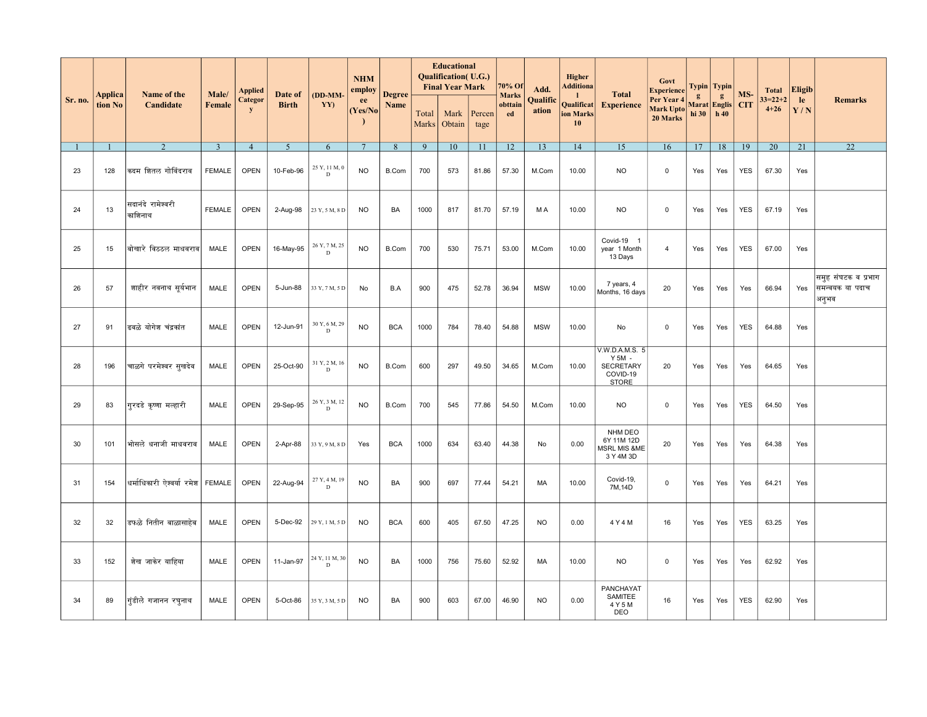|         |                    |                                  |                        | <b>Applied</b>      |                         |                              | <b>NHM</b><br>employ |                       |                | <b>Educational</b><br><b>Qualification</b> (U.G.)<br><b>Final Year Mark</b> |                | 70% Of                        | Add.              | Higher<br>Additiona                              |                                                                              | Govt<br><b>Experience</b>                  |            | Typin   Typin            |                   | <b>Total</b>              | <b>Eligib</b> |                                                 |
|---------|--------------------|----------------------------------|------------------------|---------------------|-------------------------|------------------------------|----------------------|-----------------------|----------------|-----------------------------------------------------------------------------|----------------|-------------------------------|-------------------|--------------------------------------------------|------------------------------------------------------------------------------|--------------------------------------------|------------|--------------------------|-------------------|---------------------------|---------------|-------------------------------------------------|
| Sr. no. | Applica<br>tion No | Name of the<br>Candidate         | Male/<br><b>Female</b> | <b>Categor</b><br>y | Date of<br><b>Birth</b> | (DD-MM-<br>YY)               | ee<br>(Yes/No)       | <b>Degree</b><br>Name | Total<br>Marks | Mark<br>Obtain                                                              | Percen<br>tage | <b>Marks</b><br>obttain<br>ed | Qualific<br>ation | -1<br>Qualificat<br>ion Marks<br>10 <sup>°</sup> | <b>Total</b><br><b>Experience</b>                                            | Per Year 4<br><b>Mark Upto</b><br>20 Marks | g<br>hi 30 | g<br>Marat Englis<br>h40 | MS-<br><b>CIT</b> | $33 = 22 + 2$<br>$4 + 26$ | le<br>Y/N     | <b>Remarks</b>                                  |
|         |                    | 2                                | $\overline{3}$         | $\overline{4}$      | $\overline{5}$          | 6                            | $7\phantom{.0}$      | 8                     | 9              | 10                                                                          | 11             | 12                            | 13                | 14                                               | 15                                                                           | 16                                         | 17         | 18                       | 19                | 20                        | 21            | 22                                              |
| 23      | 128                | कदम शितल गोविंदराव               | <b>FEMALE</b>          | <b>OPEN</b>         | 10-Feb-96               | 25 Y, 11 M, 0<br>D           | <sub>NO</sub>        | B.Com                 | 700            | 573                                                                         | 81.86          | 57.30                         | M.Com             | 10.00                                            | <b>NO</b>                                                                    | 0                                          | Yes        | Yes                      | <b>YES</b>        | 67.30                     | Yes           |                                                 |
| 24      | 13                 | सदानंदे रामेश्वरी<br>काशिनाथ     | <b>FEMALE</b>          | <b>OPEN</b>         | 2-Aug-98                | 23 Y, 5 M, 8 D               | <b>NO</b>            | BA                    | 1000           | 817                                                                         | 81.70          | 57.19                         | M A               | 10.00                                            | NO.                                                                          | $\mathbf 0$                                | Yes        | Yes                      | <b>YES</b>        | 67.19                     | Yes           |                                                 |
| 25      | 15                 | बोखारे विठठल माधवराव             | MALE                   | <b>OPEN</b>         | 16-May-95               | 26 Y, 7 M, 25<br>D           | <b>NO</b>            | B.Com                 | 700            | 530                                                                         | 75.71          | 53.00                         | M.Com             | 10.00                                            | Covid-19<br>- 1<br>year 1 Month<br>13 Days                                   | $\overline{4}$                             | Yes        | Yes                      | <b>YES</b>        | 67.00                     | Yes           |                                                 |
| 26      | 57                 | शाहीर नवनाथ सर्यभान              | MALE                   | <b>OPEN</b>         | 5-Jun-88                | 33 Y, 7 M, 5 D               | No                   | B.A                   | 900            | 475                                                                         | 52.78          | 36.94                         | <b>MSW</b>        | 10.00                                            | 7 years, 4<br>Months, 16 days                                                | 20                                         | Yes        | Yes                      | Yes               | 66.94                     | Yes           | समूह संघटक व प्रभाग<br>समन्वयक या पदाच<br>अनूभव |
| 27      | 91                 | ढवळे योगेश चंद्रकांत             | MALE                   | <b>OPEN</b>         | 12-Jun-91               | 30 Y, 6 M, 29<br>D           | <b>NO</b>            | <b>BCA</b>            | 1000           | 784                                                                         | 78.40          | 54.88                         | <b>MSW</b>        | 10.00                                            | No                                                                           | $\mathbf 0$                                | Yes        | Yes                      | <b>YES</b>        | 64.88                     | Yes           |                                                 |
| 28      | 196                | चाळगे परमेश्वर सुखदेव            | MALE                   | <b>OPEN</b>         | 25-Oct-90               | 31 Y, 2 M, 16<br>D           | <b>NO</b>            | B.Com                 | 600            | 297                                                                         | 49.50          | 34.65                         | M.Com             | 10.00                                            | V.W.D.A.M.S. 5<br>$Y$ 5M $-$<br><b>SECRETARY</b><br>COVID-19<br><b>STORE</b> | 20                                         | Yes        | Yes                      | Yes               | 64.65                     | Yes           |                                                 |
| 29      | 83                 | गरदडे कृष्णा मल्हारी             | MALE                   | <b>OPEN</b>         | 29-Sep-95               | 26 Y, 3 M, 12<br>$\mathbf D$ | <b>NO</b>            | B.Com                 | 700            | 545                                                                         | 77.86          | 54.50                         | M.Com             | 10.00                                            | <b>NO</b>                                                                    | $\mathsf 0$                                | Yes        | Yes                      | <b>YES</b>        | 64.50                     | Yes           |                                                 |
| 30      | 101                | भोसले धनाजी माधवराव              | MALE                   | <b>OPEN</b>         | 2-Apr-88                | 33 Y, 9 M, 8 D               | Yes                  | <b>BCA</b>            | 1000           | 634                                                                         | 63.40          | 44.38                         | No                | 0.00                                             | NHM DEO<br>6Y 11M 12D<br><b>MSRL MIS &amp;ME</b><br>3 Y 4M 3D                | 20                                         | Yes        | Yes                      | Yes               | 64.38                     | Yes           |                                                 |
| 31      | 154                | धर्माधिकारी ऐश्वर्या रमेश FEMALE |                        | <b>OPEN</b>         | 22-Aug-94               | 27 Y, 4 M, 19<br>D           | <b>NO</b>            | BA                    | 900            | 697                                                                         | 77.44          | 54.21                         | MA                | 10.00                                            | Covid-19,<br>7M, 14D                                                         | $\mathbf 0$                                | Yes        | Yes                      | Yes               | 64.21                     | Yes           |                                                 |
| 32      | 32                 | डफळे नितीन बाळासाहेब             | MALE                   | <b>OPEN</b>         | 5-Dec-92                | 29 Y, 1 M, 5 D               | <b>NO</b>            | <b>BCA</b>            | 600            | 405                                                                         | 67.50          | 47.25                         | <b>NO</b>         | 0.00                                             | 4 Y 4 M                                                                      | 16                                         | Yes        | Yes                      | <b>YES</b>        | 63.25                     | Yes           |                                                 |
| 33      | 152                | शेख जाकेर याहिया                 | MALE                   | <b>OPEN</b>         | 11-Jan-97               | 24 Y, 11 M, 30<br>D          | <b>NO</b>            | BA                    | 1000           | 756                                                                         | 75.60          | 52.92                         | MA                | 10.00                                            | <b>NO</b>                                                                    | $\mathbf 0$                                | Yes        | Yes                      | Yes               | 62.92                     | Yes           |                                                 |
| 34      | 89                 | गृंडीले गजानन रघनाथ              | MALE                   | <b>OPEN</b>         | 5-Oct-86                | 35 Y, 3 M, 5 D               | <b>NO</b>            | BA                    | 900            | 603                                                                         | 67.00          | 46.90                         | <b>NO</b>         | 0.00                                             | PANCHAYAT<br>SAMITEE<br>4 Y 5 M<br>DEO                                       | 16                                         | Yes        | Yes                      | <b>YES</b>        | 62.90                     | Yes           |                                                 |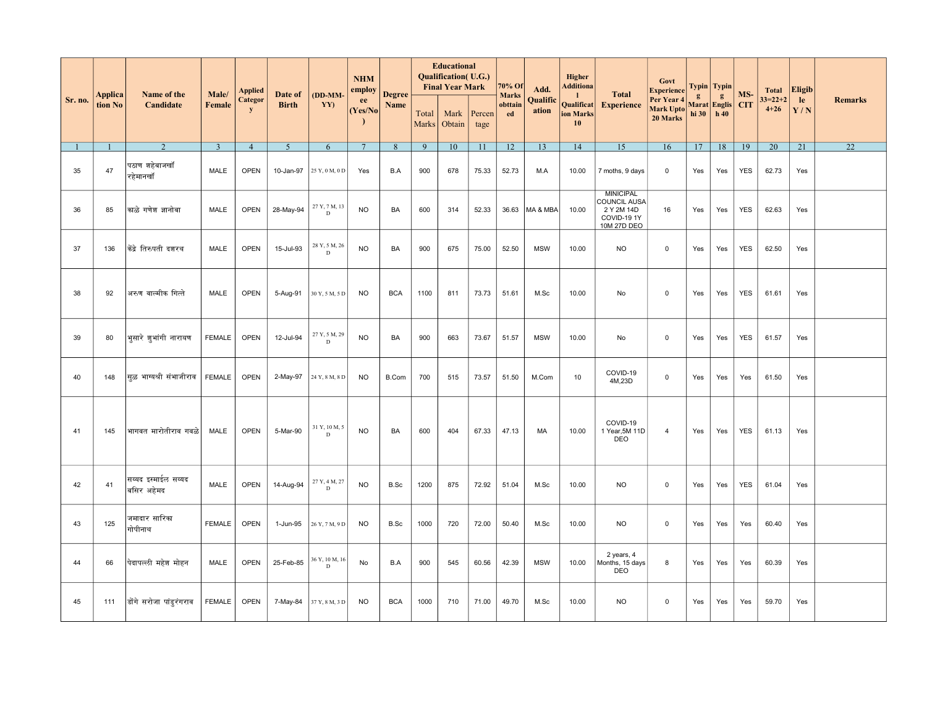|         |                    | Name of the                       | Male/          | <b>Applied</b>              | Date of        | (DD-MM-                       | <b>NHM</b><br>employ | <b>Degree</b> |                | <b>Educational</b><br><b>Qualification</b> (U.G.)<br><b>Final Year Mark</b> |                | 70% Of                        | Add.              | <b>Higher</b><br><b>Additiona</b>                | <b>Total</b>                                                                        | Govt<br><b>Experience</b>           |                                       | Typin   Typin | MS-        | <b>Total</b>              | <b>Eligib</b>   |                 |
|---------|--------------------|-----------------------------------|----------------|-----------------------------|----------------|-------------------------------|----------------------|---------------|----------------|-----------------------------------------------------------------------------|----------------|-------------------------------|-------------------|--------------------------------------------------|-------------------------------------------------------------------------------------|-------------------------------------|---------------------------------------|---------------|------------|---------------------------|-----------------|-----------------|
| Sr. no. | Applica<br>tion No | Candidate                         | Female         | <b>Categor</b><br>${\bf y}$ | <b>Birth</b>   | YY)                           | ee<br>(Yes/No)       | Name          | Total<br>Marks | Mark<br>Obtain                                                              | Percen<br>tage | <b>Marks</b><br>obttain<br>ed | Qualific<br>ation | -1<br>Qualificat<br>ion Marks<br>10 <sup>°</sup> | <b>Experience</b>                                                                   | Per Year 4<br>Mark Upto<br>20 Marks | g<br>Marat Englis CIT<br>hi 30   h 40 | g             |            | $33 = 22 + 2$<br>$4 + 26$ | le<br>Y/N       | <b>Remarks</b>  |
|         |                    | $\overline{2}$                    | $\overline{3}$ | $\overline{4}$              | $\overline{5}$ | 6                             | $7\phantom{.0}$      | 8             | $\overline{9}$ | 10                                                                          | 11             | 12                            | 13                | 14                                               | 15                                                                                  | 16                                  | 17                                    | 18            | 19         | 20                        | $\overline{21}$ | $\overline{22}$ |
| 35      | 47                 | पठाण शहेबाजखॉ<br>रहेमानखॉ         | MALE           | <b>OPEN</b>                 | 10-Jan-97      | 25 Y, 0 M, 0 D                | Yes                  | B.A           | 900            | 678                                                                         | 75.33          | 52.73                         | M.A               | 10.00                                            | 7 moths, 9 days                                                                     | $\mathbf 0$                         | Yes                                   | Yes           | <b>YES</b> | 62.73                     | Yes             |                 |
| 36      | 85                 | काळे गणेश ज्ञानोबा                | <b>MALE</b>    | <b>OPEN</b>                 | 28-May-94      | 27 Y, 7 M, 13<br>$\mathbf D$  | <b>NO</b>            | BA            | 600            | 314                                                                         | 52.33          | 36.63                         | MA & MBA          | 10.00                                            | <b>MINICIPAL</b><br><b>COUNCIL AUSA</b><br>2 Y 2M 14D<br>COVID-19 1Y<br>10M 27D DEO | 16                                  | Yes                                   | Yes           | <b>YES</b> | 62.63                     | Yes             |                 |
| 37      | 136                | केंद्रे तिरुपती दशरथ              | <b>MALE</b>    | <b>OPEN</b>                 | 15-Jul-93      | 28 Y, 5 M, 26<br>D            | <b>NO</b>            | BA            | 900            | 675                                                                         | 75.00          | 52.50                         | <b>MSW</b>        | 10.00                                            | <b>NO</b>                                                                           | $\overline{0}$                      | Yes                                   | Yes           | <b>YES</b> | 62.50                     | Yes             |                 |
| 38      | 92                 | अरुण वाल्मीक गित्ते               | MALE           | <b>OPEN</b>                 | 5-Aug-91       | 30 Y, 5 M, 5 D                | <b>NO</b>            | <b>BCA</b>    | 1100           | 811                                                                         | 73.73          | 51.61                         | M.Sc              | 10.00                                            | No                                                                                  | $\mathbf 0$                         | Yes                                   | Yes           | <b>YES</b> | 61.61                     | Yes             |                 |
| 39      | 80                 | भूसारे शुभांगी नारायण             | <b>FEMALE</b>  | <b>OPEN</b>                 | 12-Jul-94      | 27 Y, 5 M, 29<br>$\mathbf D$  | <b>NO</b>            | BA            | 900            | 663                                                                         | 73.67          | 51.57                         | <b>MSW</b>        | 10.00                                            | No                                                                                  | $\mathbf 0$                         | Yes                                   | Yes           | <b>YES</b> | 61.57                     | Yes             |                 |
| 40      | 148                | सळ भाग्यश्री संभाजीराव            | <b>FEMALE</b>  | <b>OPEN</b>                 | 2-May-97       | 24 Y, 8 M, 8 D                | <b>NO</b>            | B.Com         | 700            | 515                                                                         | 73.57          | 51.50                         | M.Com             | 10 <sup>10</sup>                                 | COVID-19<br>4M,23D                                                                  | $\mathbf 0$                         | Yes                                   | Yes           | Yes        | 61.50                     | Yes             |                 |
| 41      | 145                | भागवत मारोतीराव गवळे              | MALE           | <b>OPEN</b>                 | 5-Mar-90       | $31$ Y, $10$ M, $5$ D         | <b>NO</b>            | BA            | 600            | 404                                                                         | 67.33          | 47.13                         | MA                | 10.00                                            | COVID-19<br>1 Year, 5M 11D<br>DEO                                                   | $\overline{4}$                      | Yes                                   | Yes           | YES        | 61.13                     | Yes             |                 |
| 42      | 41                 | सय्यद इस्माईल सय्यद<br>बसिर अहेमद | <b>MALE</b>    | <b>OPEN</b>                 | 14-Aug-94      | 27 Y, 4 M, 27<br>D            | <b>NO</b>            | B.Sc          | 1200           | 875                                                                         | 72.92          | 51.04                         | M.Sc              | 10.00                                            | <b>NO</b>                                                                           | $\mathbf 0$                         | Yes                                   | Yes           | <b>YES</b> | 61.04                     | Yes             |                 |
| 43      | 125                | जमादार सारिका<br>गोपीनाथ          | <b>FEMALE</b>  | <b>OPEN</b>                 | 1-Jun-95       | 26 Y, 7 M, 9 D                | <b>NO</b>            | B.Sc          | 1000           | 720                                                                         | 72.00          | 50.40                         | M.Sc              | 10.00                                            | NO.                                                                                 | $\mathsf{O}\xspace$                 | Yes                                   | Yes           | Yes        | 60.40                     | Yes             |                 |
| 44      | 66                 | पेदापल्ली महेश मोहन               | MALE           | <b>OPEN</b>                 | 25-Feb-85      | 36 Y, 10 M, 16<br>$\mathbf D$ | No                   | B.A           | 900            | 545                                                                         | 60.56          | 42.39                         | <b>MSW</b>        | 10.00                                            | 2 years, 4<br>Months, 15 days<br>DEO                                                | 8                                   | Yes                                   | Yes           | Yes        | 60.39                     | Yes             |                 |
| 45      | 111                | डोंगे सरोजा पांडूरंगराव           | <b>FEMALE</b>  | OPEN                        | 7-May-84       | 37 Y, 8 M, 3 D                | <b>NO</b>            | <b>BCA</b>    | 1000           | 710                                                                         | 71.00          | 49.70                         | M.Sc              | 10.00                                            | <b>NO</b>                                                                           | $\mathbf 0$                         | Yes                                   | Yes           | Yes        | 59.70                     | Yes             |                 |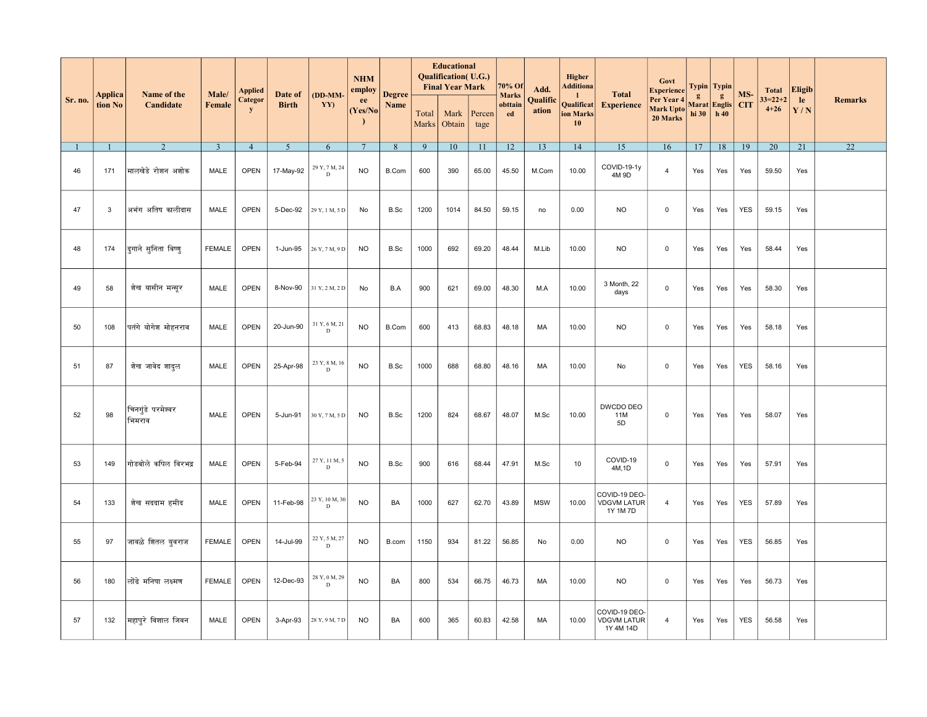|         |                    |                             |                 |                                 |                         |                              | <b>NHM</b>                            |                       |                | <b>Educational</b><br>Qualification(U.G.)<br><b>Final Year Mark</b> |                | 70% Of                        |                           | <b>Higher</b><br>Additiona                    |                                                  | Govt                                                     |                       | Typin   Typin            |                   |                                       |                            |                 |
|---------|--------------------|-----------------------------|-----------------|---------------------------------|-------------------------|------------------------------|---------------------------------------|-----------------------|----------------|---------------------------------------------------------------------|----------------|-------------------------------|---------------------------|-----------------------------------------------|--------------------------------------------------|----------------------------------------------------------|-----------------------|--------------------------|-------------------|---------------------------------------|----------------------------|-----------------|
| Sr. no. | Applica<br>tion No | Name of the<br>Candidate    | Male/<br>Female | Applied<br>Categor<br>${\bf y}$ | Date of<br><b>Birth</b> | (DD-MM-<br>YY)               | employ<br>ee<br>(Yes/No)<br>$\lambda$ | <b>Degree</b><br>Name | Total<br>Marks | Mark<br>Obtain                                                      | Percen<br>tage | <b>Marks</b><br>obttain<br>ed | Add.<br>Qualific<br>ation | $\mathbf{1}$<br>Qualificat<br>ion Marks<br>10 | <b>Total</b><br><b>Experience</b>                | Experience<br>Per Year 4<br><b>Mark Upto</b><br>20 Marks | $\mathbf{g}$<br>hi 30 | g<br>Marat Englis<br>h40 | MS-<br><b>CIT</b> | <b>Total</b><br>$33=22+2$<br>$4 + 26$ | <b>Eligib</b><br>le<br>Y/N | <b>Remarks</b>  |
|         | $\overline{1}$     | $\overline{2}$              | $\overline{3}$  | $\overline{4}$                  | 5 <sup>5</sup>          | 6                            | $7\overline{ }$                       | $8\phantom{.}$        | 9              | 10                                                                  | 11             | 12                            | 13                        | 14                                            | 15                                               | 16                                                       | 17                    | 18                       | 19                | 20                                    | 21                         | $\overline{22}$ |
| 46      | 171                | मालखेडे रोशन अशोक           | MALE            | <b>OPEN</b>                     | 17-May-92               | $29$ Y, $7$ M, $24$ D        | <b>NO</b>                             | B.Com                 | 600            | 390                                                                 | 65.00          | 45.50                         | M.Com                     | 10.00                                         | COVID-19-1y<br>4M 9D                             | $\overline{4}$                                           | Yes                   | Yes                      | Yes               | 59.50                                 | Yes                        |                 |
| 47      | 3                  | अभंग अतिष कालीदास           | MALE            | OPEN                            | 5-Dec-92                | 29 Y, 1 M, 5 D               | No                                    | B.Sc                  | 1200           | 1014                                                                | 84.50          | 59.15                         | no                        | 0.00                                          | <b>NO</b>                                        | $\mathbf 0$                                              | Yes                   | Yes                      | <b>YES</b>        | 59.15                                 | Yes                        |                 |
| 48      | 174                | दूगाने सूनिता विष्णू        | <b>FEMALE</b>   | <b>OPEN</b>                     | 1-Jun-95                | 26 Y, 7 M, 9 D               | <b>NO</b>                             | B.Sc                  | 1000           | 692                                                                 | 69.20          | 48.44                         | M.Lib                     | 10.00                                         | <b>NO</b>                                        | $\mathbf 0$                                              | Yes                   | Yes                      | Yes               | 58.44                                 | Yes                        |                 |
| 49      | 58                 | शेख यासीन मन्सूर            | MALE            | <b>OPEN</b>                     | 8-Nov-90                | 31 Y, 2 M, 2 D               | No                                    | B.A                   | 900            | 621                                                                 | 69.00          | 48.30                         | M.A                       | 10.00                                         | 3 Month, 22<br>days                              | $\mathbf 0$                                              | Yes                   | Yes                      | Yes               | 58.30                                 | Yes                        |                 |
| 50      | 108                | पतंगे योगेश मोहनराव         | MALE            | <b>OPEN</b>                     | 20-Jun-90               | 31 Y, 6 M, 21<br>D           | <b>NO</b>                             | B.Com                 | 600            | 413                                                                 | 68.83          | 48.18                         | MA                        | 10.00                                         | <b>NO</b>                                        | $\mathbf 0$                                              | Yes                   | Yes                      | Yes               | 58.18                                 | Yes                        |                 |
| 51      | 87                 | शेख जावेद शादुल             | MALE            | <b>OPEN</b>                     | 25-Apr-98               | 23 Y, 8 M, 16<br>$\mathbf D$ | <b>NO</b>                             | B.Sc                  | 1000           | 688                                                                 | 68.80          | 48.16                         | MA                        | 10.00                                         | No                                               | $\mathbf 0$                                              | Yes                   | Yes                      | <b>YES</b>        | 58.16                                 | Yes                        |                 |
| 52      | 98                 | चिनगुंडे परमेश्वर<br>भिमराव | MALE            | <b>OPEN</b>                     | 5-Jun-91                | 30 Y, 7 M, 5 D               | <b>NO</b>                             | B.Sc                  | 1200           | 824                                                                 | 68.67          | 48.07                         | M.Sc                      | 10.00                                         | DWCDO DEO<br>11M<br>5D                           | $\mathbf 0$                                              | Yes                   | Yes                      | Yes               | 58.07                                 | Yes                        |                 |
| 53      | 149                | गोडबोले कपिल विरभद्र        | MALE            | <b>OPEN</b>                     | 5-Feb-94                | 27 Y, 11 M, 5<br>$\mathbf D$ | <b>NO</b>                             | B.Sc                  | 900            | 616                                                                 | 68.44          | 47.91                         | M.Sc                      | 10                                            | COVID-19<br>4M, 1D                               | $\mathsf 0$                                              | Yes                   | Yes                      | Yes               | 57.91                                 | Yes                        |                 |
| 54      | 133                | शेख सददाम हमीद              | <b>MALE</b>     | <b>OPEN</b>                     | 11-Feb-98               | 23 Y, 10 M, 30<br>D          | <b>NO</b>                             | BA                    | 1000           | 627                                                                 | 62.70          | 43.89                         | <b>MSW</b>                | 10.00                                         | COVID-19 DEO-<br><b>VDGVM LATUR</b><br>1Y 1M 7D  | $\overline{4}$                                           | Yes                   | Yes                      | <b>YES</b>        | 57.89                                 | Yes                        |                 |
| 55      | 97                 | जावळे शितल युवराज           | <b>FEMALE</b>   | OPEN                            | 14-Jul-99               | 22 Y, 5 M, 27<br>D           | <b>NO</b>                             | B.com                 | 1150           | 934                                                                 | 81.22          | 56.85                         | No                        | 0.00                                          | NO.                                              | $\mathsf 0$                                              | Yes                   | Yes                      | <b>YES</b>        | 56.85                                 | Yes                        |                 |
| 56      | 180                | लोंढे मनिषा लक्ष्मण         | <b>FEMALE</b>   | <b>OPEN</b>                     | 12-Dec-93               | 28 Y, 0 M, 29<br>D           | <b>NO</b>                             | BA                    | 800            | 534                                                                 | 66.75          | 46.73                         | МA                        | 10.00                                         | NO.                                              | $\mathbf 0$                                              | Yes                   | Yes                      | Yes               | 56.73                                 | Yes                        |                 |
| 57      | 132                | महापूरे विशाल जिवन          | MALE            | <b>OPEN</b>                     | 3-Apr-93                | 28 Y, 9 M, 7 D               | <b>NO</b>                             | BA                    | 600            | 365                                                                 | 60.83          | 42.58                         | МA                        | 10.00                                         | COVID-19 DEO-<br><b>VDGVM LATUR</b><br>1Y 4M 14D | 4                                                        | Yes                   | Yes                      | <b>YES</b>        | 56.58                                 | Yes                        |                 |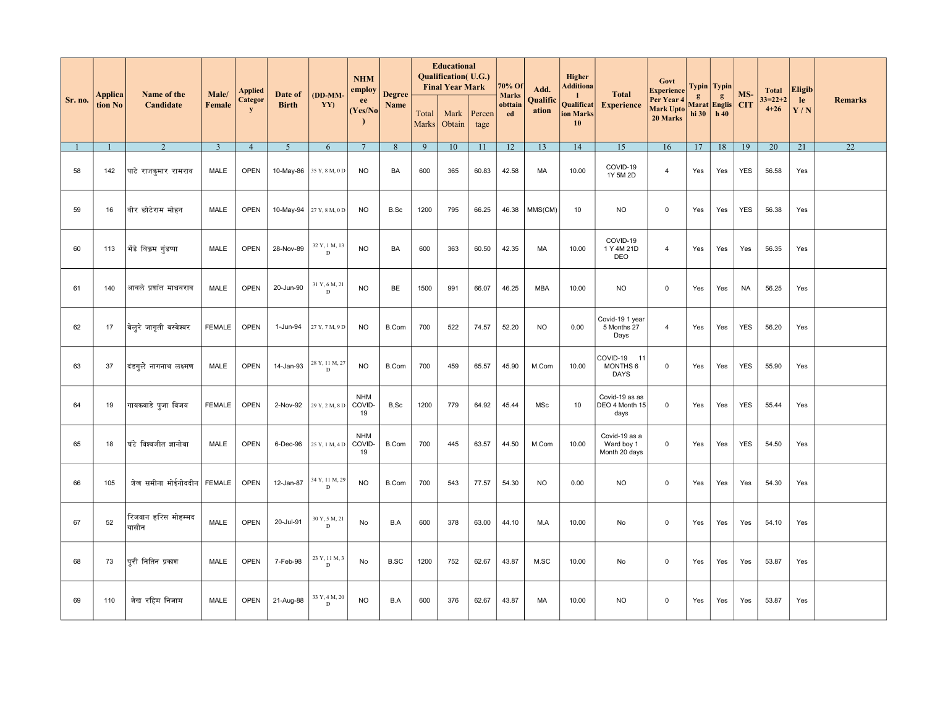|         |                    | Name of the                  | Male/                   | <b>Applied</b>       | Date of        | (DD-MM-             | <b>NHM</b><br>employ       | <b>Degree</b> |                | <b>Educational</b><br><b>Qualification</b> (U.G.)<br><b>Final Year Mark</b> |                | 70% Of<br><b>Marks</b> | Add.              | <b>Higher</b><br>Additiona<br>-1 | <b>Total</b>                                 | Govt<br><b>Experience</b>           |                                       | Typin   Typin | MS-        | <b>Total</b>              | <b>Eligib</b> |                |
|---------|--------------------|------------------------------|-------------------------|----------------------|----------------|---------------------|----------------------------|---------------|----------------|-----------------------------------------------------------------------------|----------------|------------------------|-------------------|----------------------------------|----------------------------------------------|-------------------------------------|---------------------------------------|---------------|------------|---------------------------|---------------|----------------|
| Sr. no. | Applica<br>tion No | Candidate                    | <b>Female</b>           | Categor<br>${\bf y}$ | <b>Birth</b>   | YY)                 | ee<br>(Yes/No)             | Name          | Total<br>Marks | Mark<br>Obtain                                                              | Percen<br>tage | obttain<br>ed          | Qualific<br>ation | Qualificat<br>ion Marks<br>10    | <b>Experience</b>                            | Per Year 4<br>Mark Upto<br>20 Marks | g<br>Marat Englis CIT<br>hi 30   h 40 | g             |            | $33 = 22 + 2$<br>$4 + 26$ | le<br>Y/N     | <b>Remarks</b> |
|         |                    | 2                            | $\overline{\mathbf{3}}$ | $\overline{4}$       | 5 <sup>5</sup> | 6                   | $7\phantom{.0}$            | 8             | 9              | 10                                                                          | 11             | 12                     | 13                | 14                               | 15                                           | 16                                  | 17                                    | 18            | 19         | 20                        | 21            | 22             |
| 58      | 142                | पाटे राजकुमार रामराव         | MALE                    | <b>OPEN</b>          | 10-May-86      | 35 Y, 8 M, 0 D      | <b>NO</b>                  | BA            | 600            | 365                                                                         | 60.83          | 42.58                  | МA                | 10.00                            | COVID-19<br>1Y 5M 2D                         | $\overline{4}$                      | Yes                                   | Yes           | <b>YES</b> | 56.58                     | Yes           |                |
| 59      | 16                 | वीर छोटेराम मोहन             | <b>MALE</b>             | <b>OPEN</b>          | 10-May-94      | 27 Y, 8 M, 0 D      | <b>NO</b>                  | B.Sc          | 1200           | 795                                                                         | 66.25          | 46.38                  | MMS(CM)           | 10                               | <b>NO</b>                                    | $\mathsf 0$                         | Yes                                   | Yes           | <b>YES</b> | 56.38                     | Yes           |                |
| 60      | 113                | भेंडे विक्रम गूंडप्पा        | <b>MALE</b>             | <b>OPEN</b>          | 28-Nov-89      | 32 Y, 1 M, 13<br>D  | <b>NO</b>                  | BA            | 600            | 363                                                                         | 60.50          | 42.35                  | MA                | 10.00                            | COVID-19<br>1 Y 4M 21D<br>DEO                | $\overline{4}$                      | Yes                                   | Yes           | Yes        | 56.35                     | Yes           |                |
| 61      | 140                | आवले प्रशांत माधवराव         | MALE                    | <b>OPEN</b>          | 20-Jun-90      | 31 Y, 6 M, 21<br>D  | <b>NO</b>                  | BE            | 1500           | 991                                                                         | 66.07          | 46.25                  | <b>MBA</b>        | 10.00                            | <b>NO</b>                                    | $\mathsf{O}\xspace$                 | Yes                                   | Yes           | <b>NA</b>  | 56.25                     | Yes           |                |
| 62      | 17                 | बिऌरे जागृती बस्वेश्वर       | <b>FEMALE</b>           | <b>OPEN</b>          | 1-Jun-94       | 27 Y, 7 M, 9 D      | <b>NO</b>                  | B.Com         | 700            | 522                                                                         | 74.57          | 52.20                  | <b>NO</b>         | 0.00                             | Covid-19 1 year<br>5 Months 27<br>Days       | $\overline{4}$                      | Yes                                   | Yes           | <b>YES</b> | 56.20                     | Yes           |                |
| 63      | 37                 | दंडगूले नागनाथ लक्ष्मण       | MALE                    | <b>OPEN</b>          | 14-Jan-93      | 28 Y, 11 M, 27<br>D | <b>NO</b>                  | B.Com         | 700            | 459                                                                         | 65.57          | 45.90                  | M.Com             | 10.00                            | COVID-19 11<br>MONTHS 6<br><b>DAYS</b>       | $\mathbf 0$                         | Yes                                   | Yes           | <b>YES</b> | 55.90                     | Yes           |                |
| 64      | 19                 | गायकवाडे पूजा विजय           | <b>FEMALE</b>           | <b>OPEN</b>          | 2-Nov-92       | 29 Y, 2 M, 8 D      | <b>NHM</b><br>COVID-<br>19 | B,Sc          | 1200           | 779                                                                         | 64.92          | 45.44                  | MSc               | 10 <sup>10</sup>                 | Covid-19 as as<br>DEO 4 Month 15<br>days     | $\mathsf{O}\xspace$                 | Yes                                   | Yes           | <b>YES</b> | 55.44                     | Yes           |                |
| 65      | 18                 | घंटे विश्वजीत ज्ञानोबा       | <b>MALE</b>             | <b>OPEN</b>          | 6-Dec-96       | $25$ Y, 1 M, 4 D    | <b>NHM</b><br>COVID-<br>19 | <b>B.Com</b>  | 700            | 445                                                                         | 63.57          | 44.50                  | M.Com             | 10.00                            | Covid-19 as a<br>Ward boy 1<br>Month 20 days | $\mathbf 0$                         | Yes                                   | Yes           | <b>YES</b> | 54.50                     | Yes           |                |
| 66      | 105                | शेख समीना मोईनोददीन FEMALE   |                         | <b>OPEN</b>          | 12-Jan-87      | 34 Y, 11 M, 29<br>D | <b>NO</b>                  | B.Com         | 700            | 543                                                                         | 77.57          | 54.30                  | <b>NO</b>         | 0.00                             | <b>NO</b>                                    | $\mathbf 0$                         | Yes                                   | Yes           | Yes        | 54.30                     | Yes           |                |
| 67      | 52                 | रिजवान हरिस मोहम्मद<br>यासीन | <b>MALE</b>             | <b>OPEN</b>          | 20-Jul-91      | 30 Y, 5 M, 21<br>D  | No                         | B.A           | 600            | 378                                                                         | 63.00          | 44.10                  | M.A               | 10.00                            | No                                           | $\mathbf 0$                         | Yes                                   | Yes           | Yes        | 54.10                     | Yes           |                |
| 68      | 73                 | पुरी नितिन प्रकाश            | MALE                    | <b>OPEN</b>          | 7-Feb-98       | 23 Y, 11 M, 3<br>D  | No                         | <b>B.SC</b>   | 1200           | 752                                                                         | 62.67          | 43.87                  | M.SC              | 10.00                            | No                                           | $\mathbf 0$                         | Yes                                   | Yes           | Yes        | 53.87                     | Yes           |                |
| 69      | 110                | शेख रहिम निजाम               | MALE                    | <b>OPEN</b>          | 21-Aug-88      | 33 Y, 4 M, 20<br>D  | <b>NO</b>                  | B.A           | 600            | 376                                                                         | 62.67          | 43.87                  | MA                | 10.00                            | <b>NO</b>                                    | $\mathbf 0$                         | Yes                                   | Yes           | Yes        | 53.87                     | Yes           |                |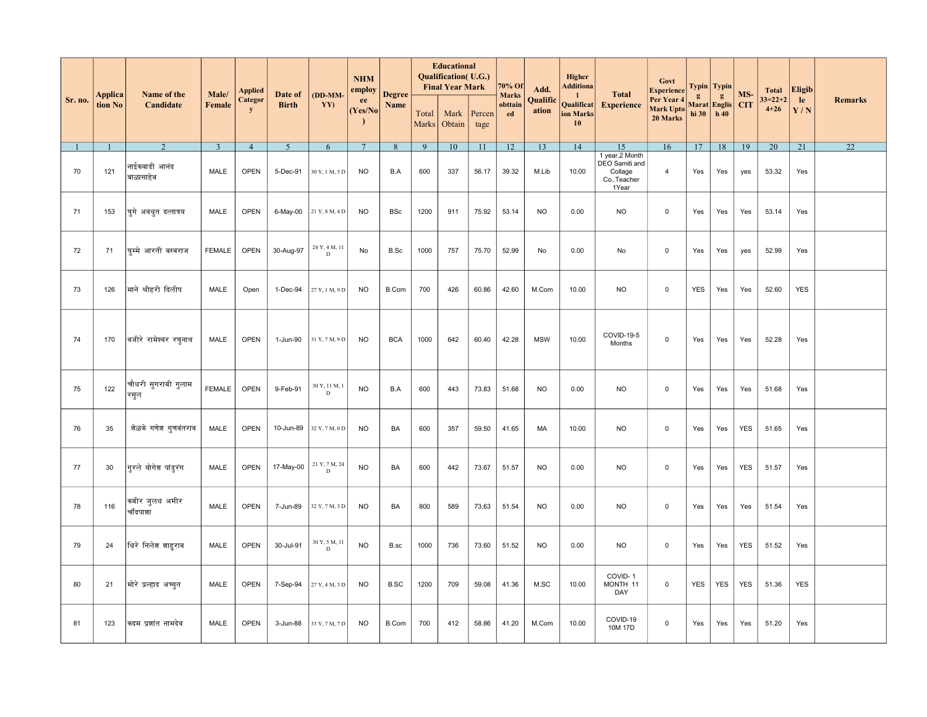|         |                    |                             |                 | <b>Applied</b>       |                         |                              | <b>NHM</b><br>employ        |                       |                | <b>Educational</b><br>Qualification(U.G.)<br><b>Final Year Mark</b> |                | 70% Of                        | Add.              | Higher<br>Additiona                           |                                                 | Govt<br><b>Experience</b>                  |                       | Typin   Typin            |                   | <b>Total</b>              | <b>Eligib</b>   |                 |
|---------|--------------------|-----------------------------|-----------------|----------------------|-------------------------|------------------------------|-----------------------------|-----------------------|----------------|---------------------------------------------------------------------|----------------|-------------------------------|-------------------|-----------------------------------------------|-------------------------------------------------|--------------------------------------------|-----------------------|--------------------------|-------------------|---------------------------|-----------------|-----------------|
| Sr. no. | Applica<br>tion No | Name of the<br>Candidate    | Male/<br>Female | Categor<br>${\bf y}$ | Date of<br><b>Birth</b> | $(DD-MM-$<br>YY)             | ee<br>(Yes/No)<br>$\lambda$ | <b>Degree</b><br>Name | Total<br>Marks | Mark<br>Obtain                                                      | Percen<br>tage | <b>Marks</b><br>obttain<br>ed | Qualific<br>ation | $\mathbf{1}$<br>Qualificat<br>ion Marks<br>10 | <b>Total</b><br><b>Experience</b>               | Per Year 4<br><b>Mark Upto</b><br>20 Marks | $\mathbf{g}$<br>hi 30 | g<br>Marat Englis<br>h40 | MS-<br><b>CIT</b> | $33 = 22 + 2$<br>$4 + 26$ | le<br>Y/N       | <b>Remarks</b>  |
|         |                    | 2                           | $\overline{3}$  | $\overline{4}$       | $\overline{5}$          | 6                            | $7\phantom{.0}$             | 8                     | 9              | 10                                                                  | 11             | 12                            | 13                | 14                                            | 15<br>1 year, 2 Month                           | 16                                         | 17                    | 18                       | 19                | $\overline{20}$           | $\overline{21}$ | $\overline{22}$ |
| 70      | 121                | नाईकवाडी आनंद<br>बाळासाहेब  | MALE            | OPEN                 | 5-Dec-91                | 30 Y, 1 M, 5 D               | <b>NO</b>                   | B.A                   | 600            | 337                                                                 | 56.17          | 39.32                         | M.Lib             | 10.00                                         | DEO Samiti and<br>Collage<br>CoTeacher<br>1Year | $\overline{4}$                             | Yes                   | Yes                      | yes               | 53.32                     | Yes             |                 |
| 71      | 153                | घूगे अवधूत दत्तात्रय        | MALE            | <b>OPEN</b>          | 6-May-00                | 21 Y, 8 M, 4 D               | <b>NO</b>                   | BSc                   | 1200           | 911                                                                 | 75.92          | 53.14                         | <b>NO</b>         | 0.00                                          | <b>NO</b>                                       | $\mathbf 0$                                | Yes                   | Yes                      | Yes               | 53.14                     | Yes             |                 |
| 72      | 71                 | घम्मे आरती बस्वराज          | <b>FEMALE</b>   | <b>OPEN</b>          | 30-Aug-97               | 24 Y, 4 M, 11<br>D           | No                          | B.Sc                  | 1000           | 757                                                                 | 75.70          | 52.99                         | No                | 0.00                                          | No                                              | $\mathbf 0$                                | Yes                   | Yes                      | yes               | 52.99                     | Yes             |                 |
| 73      | 126                | माने श्रीहरी दिलीप          | MALE            | Open                 | 1-Dec-94                | 27 Y, 1 M, 9 D               | <b>NO</b>                   | B.Com                 | 700            | 426                                                                 | 60.86          | 42.60                         | M.Com             | 10.00                                         | <b>NO</b>                                       | $\mathbf 0$                                | <b>YES</b>            | Yes                      | Yes               | 52.60                     | <b>YES</b>      |                 |
| 74      | 170                | वजीरे रामेश्वर रघुनाथ       | MALE            | <b>OPEN</b>          | 1-Jun-90                | 31 Y, 7 M, 9 D               | <b>NO</b>                   | <b>BCA</b>            | 1000           | 642                                                                 | 60.40          | 42.28                         | <b>MSW</b>        | 10.00                                         | COVID-19-5<br>Months                            | $\mathbf 0$                                | Yes                   | Yes                      | Yes               | 52.28                     | Yes             |                 |
| 75      | 122                | चौधरी सूगराबी गुलाम<br>रसुल | <b>FEMALE</b>   | <b>OPEN</b>          | 9-Feb-91                | 30 Y, 11 M, 1<br>D           | <b>NO</b>                   | B.A                   | 600            | 443                                                                 | 73.83          | 51.68                         | <b>NO</b>         | 0.00                                          | NO.                                             | $\mathbf 0$                                | Yes                   | Yes                      | Yes               | 51.68                     | Yes             |                 |
| 76      | 35                 | शेळके गणेश गुणवंतराव        | MALE            | <b>OPEN</b>          | 10-Jun-89               | 32 Y, 7 M, 0 D               | <b>NO</b>                   | BA                    | 600            | 357                                                                 | 59.50          | 41.65                         | МA                | 10.00                                         | NO.                                             | $\mathbf 0$                                | Yes                   | Yes                      | <b>YES</b>        | 51.65                     | Yes             |                 |
| 77      | 30                 | गुरले योगेश पांडूरंग        | MALE            | <b>OPEN</b>          | 17-May-00               | 21 Y, 7 M, 24<br>$\mathbf D$ | <b>NO</b>                   | BA                    | 600            | 442                                                                 | 73.67          | 51.57                         | <b>NO</b>         | 0.00                                          | <b>NO</b>                                       | $\mathbf 0$                                | Yes                   | Yes                      | <b>YES</b>        | 51.57                     | Yes             |                 |
| 78      | 116                | कबीर जुलध अमीर<br>चॉदपाशा   | MALE            | <b>OPEN</b>          | 7-Jun-89                | 32 Y, 7 M, 3 D               | <b>NO</b>                   | BA                    | 800            | 589                                                                 | 73.63          | 51.54                         | <b>NO</b>         | 0.00                                          | <b>NO</b>                                       | $\mathbf 0$                                | Yes                   | Yes                      | Yes               | 51.54                     | Yes             |                 |
| 79      | 24                 | धिरे निलेश शाहराव           | MALE            | <b>OPEN</b>          | 30-Jul-91               | 30 Y, 5 M, 11<br>$\mathbf D$ | <b>NO</b>                   | B.sc                  | 1000           | 736                                                                 | 73.60          | 51.52                         | <b>NO</b>         | 0.00                                          | <b>NO</b>                                       | $\mathbf 0$                                | Yes                   | Yes                      | <b>YES</b>        | 51.52                     | Yes             |                 |
| 80      | 21                 | मोरे प्रल्हाद अच्युत        | MALE            | <b>OPEN</b>          | 7-Sep-94                | 27 Y, 4 M, 3 D               | <b>NO</b>                   | <b>B.SC</b>           | 1200           | 709                                                                 | 59.08          | 41.36                         | M.SC              | 10.00                                         | COVID-1<br>MONTH 11<br>DAY                      | $\mathbf 0$                                | <b>YES</b>            | <b>YES</b>               | <b>YES</b>        | 51.36                     | <b>YES</b>      |                 |
| 81      | 123                | कदम प्रशांत नामदेव          | MALE            | <b>OPEN</b>          | 3-Jun-88                | 33 Y, 7 M, 7 D               | <b>NO</b>                   | B.Com                 | 700            | 412                                                                 | 58.86          | 41.20                         | M.Com             | 10.00                                         | COVID-19<br>10M 17D                             | $\mathbf 0$                                | Yes                   | Yes                      | Yes               | 51.20                     | Yes             |                 |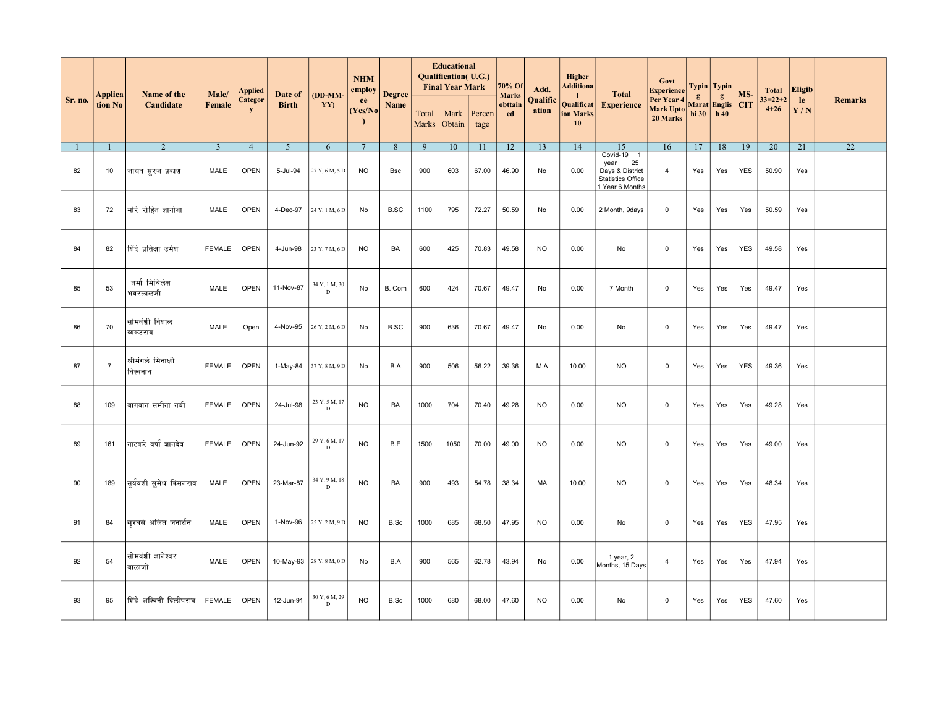|         |                    | Name of the                    | Male/          | Applied        | Date of        | (DD-MM-            | <b>NHM</b><br>employ | <b>Degree</b> |                | <b>Educational</b><br><b>Qualification</b> (U.G.)<br><b>Final Year Mark</b> |                | 70% Of                        | Add.              | <b>Higher</b><br><b>Additiona</b><br>-1.   | <b>Total</b>                                                                               | Govt<br><b>Experience</b>           |                   | Typin   Typin         | MS-        | <b>Total</b>              | <b>Eligib</b> |                 |
|---------|--------------------|--------------------------------|----------------|----------------|----------------|--------------------|----------------------|---------------|----------------|-----------------------------------------------------------------------------|----------------|-------------------------------|-------------------|--------------------------------------------|--------------------------------------------------------------------------------------------|-------------------------------------|-------------------|-----------------------|------------|---------------------------|---------------|-----------------|
| Sr. no. | Applica<br>tion No | Candidate                      | <b>Female</b>  | Categor<br>y   | <b>Birth</b>   | YY)                | ee<br>(Yes/No)       | Name          | Total<br>Marks | Mark<br>Obtain                                                              | Percen<br>tage | <b>Marks</b><br>obttain<br>ed | Qualific<br>ation | Qualificat<br>ion Marks<br>10 <sup>°</sup> | <b>Experience</b>                                                                          | Per Year 4<br>Mark Upto<br>20 Marks | g<br>hi 30   h 40 | g<br>Marat Englis CIT |            | $33 = 22 + 2$<br>$4 + 26$ | le<br>Y/N     | <b>Remarks</b>  |
|         | $\mathbf{1}$       | 2                              | $\overline{3}$ | $\overline{4}$ | 5 <sup>5</sup> | 6                  | $7\phantom{.0}$      | 8             | 9              | 10                                                                          | 11             | 12                            | 13                | 14                                         | 15                                                                                         | 16                                  | 17                | 18                    | 19         | 20                        | 21            | $\overline{22}$ |
| 82      | 10                 | जाधव सूरज प्रकाश               | MALE           | <b>OPEN</b>    | 5-Jul-94       | 27 Y, 6 M, 5 D     | <b>NO</b>            | <b>Bsc</b>    | 900            | 603                                                                         | 67.00          | 46.90                         | No                | 0.00                                       | Covid-19 1<br>year<br>25<br>Days & District<br><b>Statistics Office</b><br>1 Year 6 Months | $\overline{4}$                      | Yes               | Yes                   | <b>YES</b> | 50.90                     | Yes           |                 |
| 83      | 72                 | मोरे रोहित ज्ञानोबा            | MALE           | <b>OPEN</b>    | 4-Dec-97       | 24 Y, 1 M, 6 D     | No                   | <b>B.SC</b>   | 1100           | 795                                                                         | 72.27          | 50.59                         | No                | 0.00                                       | 2 Month, 9days                                                                             | $\mathbf 0$                         | Yes               | Yes                   | Yes        | 50.59                     | Yes           |                 |
| 84      | 82                 | शिंदे प्रतिक्षा उमेश           | <b>FEMALE</b>  | <b>OPEN</b>    | 4-Jun-98       | 23 Y, 7 M, 6 D     | <b>NO</b>            | BA            | 600            | 425                                                                         | 70.83          | 49.58                         | <b>NO</b>         | 0.00                                       | No                                                                                         | $\mathbf 0$                         | Yes               | Yes                   | <b>YES</b> | 49.58                     | Yes           |                 |
| 85      | 53                 | शर्मा मिथिलेश<br>भवरलालजी      | MALE           | <b>OPEN</b>    | 11-Nov-87      | 34 Y, 1 M, 30<br>D | No                   | B. Com        | 600            | 424                                                                         | 70.67          | 49.47                         | No                | 0.00                                       | 7 Month                                                                                    | $\mathbf 0$                         | Yes               | Yes                   | Yes        | 49.47                     | Yes           |                 |
| 86      | 70                 | सोमवंशी विशाल<br>व्यंकटराव     | MALE           | Open           | 4-Nov-95       | 26 Y, 2 M, 6 D     | No                   | <b>B.SC</b>   | 900            | 636                                                                         | 70.67          | 49.47                         | No                | 0.00                                       | No                                                                                         | $\mathbf 0$                         | Yes               | Yes                   | Yes        | 49.47                     | Yes           |                 |
| 87      | $\overline{7}$     | श्रीमंगले मिनाक्षी<br>विश्वनाथ | <b>FEMALE</b>  | <b>OPEN</b>    | 1-May-84       | 37 Y, 8 M, 9 D     | No                   | B.A           | 900            | 506                                                                         | 56.22          | 39.36                         | M.A               | 10.00                                      | <b>NO</b>                                                                                  | $\mathbf 0$                         | Yes               | Yes                   | <b>YES</b> | 49.36                     | Yes           |                 |
| 88      | 109                | बागवान समीना नबी               | <b>FEMALE</b>  | <b>OPEN</b>    | 24-Jul-98      | 23 Y, 5 M, 17<br>D | <b>NO</b>            | BA            | 1000           | 704                                                                         | 70.40          | 49.28                         | <b>NO</b>         | 0.00                                       | <b>NO</b>                                                                                  | $\mathbf 0$                         | Yes               | Yes                   | Yes        | 49.28                     | Yes           |                 |
| 89      | 161                | नाटकरे वर्षा ज्ञानदेव          | <b>FEMALE</b>  | <b>OPEN</b>    | 24-Jun-92      | 29 Y, 6 M, 17<br>D | <b>NO</b>            | B.E           | 1500           | 1050                                                                        | 70.00          | 49.00                         | <b>NO</b>         | 0.00                                       | <b>NO</b>                                                                                  | $\mathbf 0$                         | Yes               | Yes                   | Yes        | 49.00                     | Yes           |                 |
| 90      | 189                | सुर्यवंशी समेध किसनराव         | MALE           | <b>OPEN</b>    | 23-Mar-87      | 34 Y, 9 M, 18<br>D | <b>NO</b>            | BA            | 900            | 493                                                                         | 54.78          | 38.34                         | MA                | 10.00                                      | <b>NO</b>                                                                                  | $\mathbf 0$                         | Yes               | Yes                   | Yes        | 48.34                     | Yes           |                 |
| 91      | 84                 | सूरवसे अजित जनार्धन            | MALE           | <b>OPEN</b>    | 1-Nov-96       | 25 Y, 2 M, 9 D     | <b>NO</b>            | B.Sc          | 1000           | 685                                                                         | 68.50          | 47.95                         | <b>NO</b>         | 0.00                                       | No                                                                                         | $\mathbf 0$                         | Yes               | Yes                   | <b>YES</b> | 47.95                     | Yes           |                 |
| 92      | 54                 | सोमवंशी ज्ञानेश्वर<br>बालाजी   | <b>MALE</b>    | <b>OPEN</b>    | 10-May-93      | 28 Y, 8 M, 0 D     | No                   | B.A           | 900            | 565                                                                         | 62.78          | 43.94                         | No                | 0.00                                       | 1 year, 2<br>Months, 15 Days                                                               | $\overline{4}$                      | Yes               | Yes                   | Yes        | 47.94                     | Yes           |                 |
| 93      | 95                 | शिंदे अश्विनी दिलीपराव         | <b>FEMALE</b>  | <b>OPEN</b>    | 12-Jun-91      | 30 Y, 6 M, 29<br>D | <b>NO</b>            | B.Sc          | 1000           | 680                                                                         | 68.00          | 47.60                         | <b>NO</b>         | 0.00                                       | No                                                                                         | $\mathbf 0$                         | Yes               | Yes                   | <b>YES</b> | 47.60                     | Yes           |                 |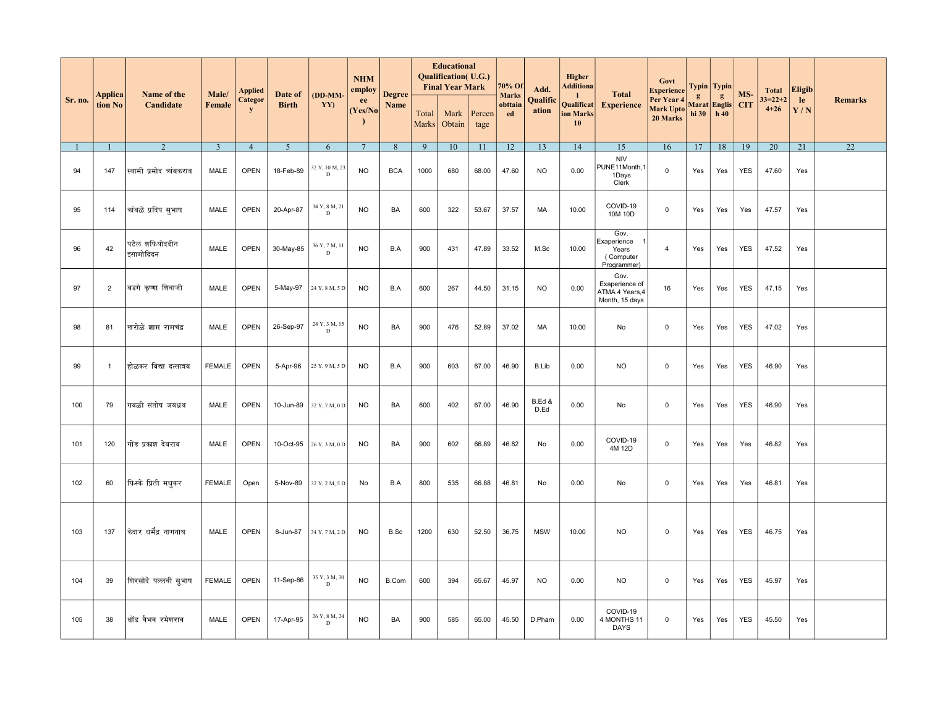|         |                    |                             |                 | Applied              |                         |                                    | <b>NHM</b><br>$\pmb{\text{empty}}$ |                       |                | <b>Educational</b><br><b>Qualification</b> (U.G.)<br><b>Final Year Mark</b> |                | 70% Of                        | Add.              | <b>Higher</b><br><b>Additiona</b>             |                                                             | Govt<br><b>Experience</b>                  |                                           | Typin   Typin |            | <b>Total</b>              | <b>Eligib</b> |                 |
|---------|--------------------|-----------------------------|-----------------|----------------------|-------------------------|------------------------------------|------------------------------------|-----------------------|----------------|-----------------------------------------------------------------------------|----------------|-------------------------------|-------------------|-----------------------------------------------|-------------------------------------------------------------|--------------------------------------------|-------------------------------------------|---------------|------------|---------------------------|---------------|-----------------|
| Sr. no. | Applica<br>tion No | Name of the<br>Candidate    | Male/<br>Female | Categor<br>${\bf y}$ | Date of<br><b>Birth</b> | (DD-MM-<br>YY)                     | ee<br>(Yes/No)<br>$\lambda$        | <b>Degree</b><br>Name | Total<br>Marks | Mark<br>Obtain                                                              | Percen<br>tage | <b>Marks</b><br>obttain<br>ed | Qualific<br>ation | $\mathbf{1}$<br>Qualificat<br>ion Marks<br>10 | <b>Total</b><br><b>Experience</b>                           | Per Year 4<br><b>Mark Upto</b><br>20 Marks | $\mathbf{g}$<br>Marat Englis CIT<br>hi 30 | g<br>h 40     | MS-        | $33 = 22 + 2$<br>$4 + 26$ | le<br>Y/N     | <b>Remarks</b>  |
|         |                    | 2                           | $\overline{3}$  | $\overline{4}$       | 5 <sup>5</sup>          | 6                                  | $7\phantom{.0}$                    | 8                     | 9              | 10                                                                          | 11             | 12                            | 13                | 14                                            | 15                                                          | 16                                         | 17                                        | 18            | 19         | 20                        | 21            | $\overline{22}$ |
| 94      | 147                | स्वामी प्रमोद व्यंबकराव     | MALE            | <b>OPEN</b>          | 18-Feb-89               | 32 Y, 10 M, 23<br>$\mathbf D$      | <b>NO</b>                          | <b>BCA</b>            | 1000           | 680                                                                         | 68.00          | 47.60                         | <b>NO</b>         | 0.00                                          | <b>NIV</b><br>PUNE11Month,1<br>1Days<br>Clerk               | $\mathbf 0$                                | Yes                                       | Yes           | <b>YES</b> | 47.60                     | Yes           |                 |
| 95      | 114                | कांबळे प्रदिप सूभाष         | MALE            | <b>OPEN</b>          | 20-Apr-87               | 34 Y, 8 M, 21<br>D                 | <b>NO</b>                          | BA                    | 600            | 322                                                                         | 53.67          | 37.57                         | MA                | 10.00                                         | COVID-19<br>10M 10D                                         | $\mathbf 0$                                | Yes                                       | Yes           | Yes        | 47.57                     | Yes           |                 |
| 96      | 42                 | पटेल शफियोददीन<br>इसामोदिदन | <b>MALE</b>     | OPEN                 | 30-May-85               | 36 Y, 7 M, 11<br>$\mathbf{D}$      | <b>NO</b>                          | B.A                   | 900            | 431                                                                         | 47.89          | 33.52                         | M.Sc              | 10.00                                         | Gov.<br>Exaperience<br>Years<br>(Computer<br>Programmer)    | $\overline{4}$                             | Yes                                       | Yes           | <b>YES</b> | 47.52                     | Yes           |                 |
| 97      | $\overline{2}$     | बडगे कृष्णा शिवाजी          | MALE            | <b>OPEN</b>          | 5-May-97                | 24 Y, 8 M, 5 D                     | <b>NO</b>                          | B.A                   | 600            | 267                                                                         | 44.50          | 31.15                         | <b>NO</b>         | 0.00                                          | Gov.<br>Exaperience of<br>ATMA 4 Years, 4<br>Month, 15 days | 16                                         | Yes                                       | Yes           | YES        | 47.15                     | Yes           |                 |
| 98      | 81                 | खरोळे शाम रामचंद्र          | MALE            | OPEN                 | 26-Sep-97               | 24 Y, 3 M, 15<br>$\mathbf{D}$      | <b>NO</b>                          | BA                    | 900            | 476                                                                         | 52.89          | 37.02                         | MA                | 10.00                                         | No                                                          | $\mathsf 0$                                | Yes                                       | Yes           | <b>YES</b> | 47.02                     | Yes           |                 |
| 99      | $\mathbf{1}$       | होळकर विद्या दत्तात्रय      | <b>FEMALE</b>   | <b>OPEN</b>          | 5-Apr-96                | 25 Y, 9 M, 5 D                     | <b>NO</b>                          | B.A                   | 900            | 603                                                                         | 67.00          | 46.90                         | B.Lib             | 0.00                                          | NO.                                                         | $\mathbf 0$                                | Yes                                       | Yes           | <b>YES</b> | 46.90                     | Yes           |                 |
| 100     | 79                 | गवळी संतोष जयध्रथ           | MALE            | OPEN                 | 10-Jun-89               | 32 Y, 7 M, 0 D                     | <b>NO</b>                          | BA                    | 600            | 402                                                                         | 67.00          | 46.90                         | B.Ed &<br>D.Ed    | 0.00                                          | No                                                          | $\mathbf 0$                                | Yes                                       | Yes           | <b>YES</b> | 46.90                     | Yes           |                 |
| 101     | 120                | गोंड प्रकाश देवराव          | MALE            | <b>OPEN</b>          | 10-Oct-95               | 26 Y, 3 M, 0 D                     | <b>NO</b>                          | BA                    | 900            | 602                                                                         | 66.89          | 46.82                         | No                | 0.00                                          | COVID-19<br>4M 12D                                          | $\mathbf 0$                                | Yes                                       | Yes           | Yes        | 46.82                     | Yes           |                 |
| 102     | 60                 | फिस्के प्रिती मधूकर         | <b>FEMALE</b>   | Open                 | 5-Nov-89                | 32 Y, 2 M, 5 D                     | No                                 | B.A                   | 800            | 535                                                                         | 66.88          | 46.81                         | No                | 0.00                                          | No                                                          | $\mathbf 0$                                | Yes                                       | Yes           | Yes        | 46.81                     | Yes           |                 |
| 103     | 137                | केदार धर्मेंद्र नागनाथ      | MALE            | <b>OPEN</b>          | 8-Jun-87                | 34 Y, 7 M, 2 D                     | <b>NO</b>                          | B.Sc                  | 1200           | 630                                                                         | 52.50          | 36.75                         | <b>MSW</b>        | 10.00                                         | <b>NO</b>                                                   | 0                                          | Yes                                       | Yes           | <b>YES</b> | 46.75                     | Yes           |                 |
| 104     | 39                 | शिरसोदे पल्लवी सूभाष        | <b>FEMALE</b>   | OPEN                 | 11-Sep-86               | $35$ Y, $3$ M, $30$<br>$\mathbf D$ | <b>NO</b>                          | B.Com                 | 600            | 394                                                                         | 65.67          | 45.97                         | <b>NO</b>         | 0.00                                          | <b>NO</b>                                                   | $\mathbf 0$                                | Yes                                       | Yes           | <b>YES</b> | 45.97                     | Yes           |                 |
| 105     | 38                 | धोंड वैभव रमेशराव           | MALE            | <b>OPEN</b>          | 17-Apr-95               | 26 Y, 8 M, 24<br>$\mathbf D$       | <b>NO</b>                          | BA                    | 900            | 585                                                                         | 65.00          | 45.50                         | D.Pham            | 0.00                                          | COVID-19<br>4 MONTHS 11<br>DAYS                             | $\mathbf 0$                                | Yes                                       | Yes           | <b>YES</b> | 45.50                     | Yes           |                 |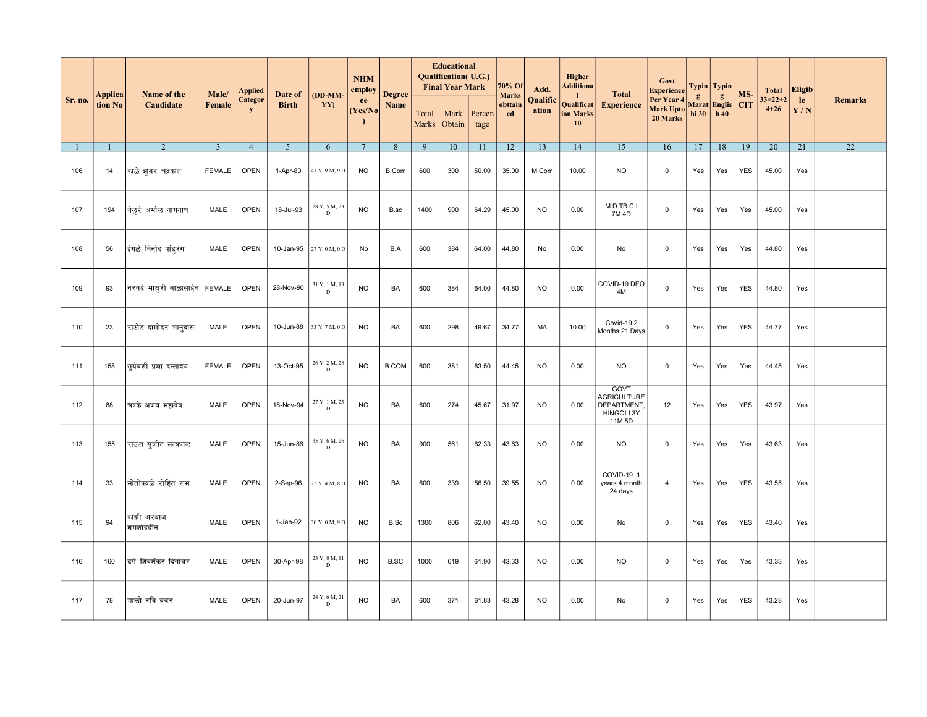|         |                    | Name of the                   | Male/          | <b>Applied</b>       | Date of        | (DD-MM-                      | <b>NHM</b><br>employ | <b>Degree</b> |                | <b>Educational</b><br><b>Qualification</b> (U.G.)<br><b>Final Year Mark</b> |                | 70% Of                        | Add.              | <b>Higher</b><br><b>Additiona</b>   | <b>Total</b>                                                      | Govt<br><b>Experience</b>           |                   | Typin   Typin         | MS-        | <b>Total</b>              | Eligib    |                 |
|---------|--------------------|-------------------------------|----------------|----------------------|----------------|------------------------------|----------------------|---------------|----------------|-----------------------------------------------------------------------------|----------------|-------------------------------|-------------------|-------------------------------------|-------------------------------------------------------------------|-------------------------------------|-------------------|-----------------------|------------|---------------------------|-----------|-----------------|
| Sr. no. | Applica<br>tion No | Candidate                     | Female         | Categor<br>${\bf y}$ | <b>Birth</b>   | YY)                          | ee<br>(Yes/No)       | Name          | Total<br>Marks | Mark<br>Obtain                                                              | Percen<br>tage | <b>Marks</b><br>obttain<br>ed | Qualific<br>ation | -1<br>Qualificat<br>ion Marks<br>10 | <b>Experience</b>                                                 | Per Year 4<br>Mark Upto<br>20 Marks | g<br>hi 30   h 40 | g<br>Marat Englis CIT |            | $33 = 22 + 2$<br>$4 + 26$ | le<br>Y/N | <b>Remarks</b>  |
|         |                    | 2                             | $\overline{3}$ | $\overline{4}$       | 5 <sup>5</sup> | 6                            | $7\phantom{.0}$      | 8             | 9              | 10                                                                          | 11             | 12                            | 13                | 14                                  | 15                                                                | 16                                  | 17                | 18                    | 19         | 20                        | 21        | $\overline{22}$ |
| 106     | 14                 | काळे झंबर चंद्रकांत           | <b>FEMALE</b>  | <b>OPEN</b>          | 1-Apr-80       | 41 Y, 9 M, 9 D               | <b>NO</b>            | B.Com         | 600            | 300                                                                         | 50.00          | 35.00                         | M.Com             | 10.00                               | <b>NO</b>                                                         | $\mathbf 0$                         | Yes               | Yes                   | <b>YES</b> | 45.00                     | Yes       |                 |
| 107     | 194                | येलूरे अमोल नागनाथ            | <b>MALE</b>    | <b>OPEN</b>          | 18-Jul-93      | 28 Y, 5 M, 23<br>$\mathbf D$ | <b>NO</b>            | B.sc          | 1400           | 900                                                                         | 64.29          | 45.00                         | <b>NO</b>         | 0.00                                | M.D.TBCI<br>7M 4D                                                 | $\mathbf 0$                         | Yes               | Yes                   | Yes        | 45.00                     | Yes       |                 |
| 108     | 56                 | इंगळे विनोद पांडूरंग          | <b>MALE</b>    | <b>OPEN</b>          | 10-Jan-95      | 27 Y, 0 M, 0 D               | No                   | B.A           | 600            | 384                                                                         | 64.00          | 44.80                         | No                | 0.00                                | No                                                                | $\mathbf 0$                         | Yes               | Yes                   | Yes        | 44.80                     | Yes       |                 |
| 109     | 93                 | नरवडे माधुरी बाळासाहेब FEMALE |                | <b>OPEN</b>          | 28-Nov-90      | 31 Y, 1 M, 13<br>D           | <b>NO</b>            | BA            | 600            | 384                                                                         | 64.00          | 44.80                         | <b>NO</b>         | 0.00                                | COVID-19 DEO<br>4M                                                | $\mathsf{O}\xspace$                 | Yes               | Yes                   | <b>YES</b> | 44.80                     | Yes       |                 |
| 110     | 23                 | राठोड दामोदर भानूदास          | MALE           | <b>OPEN</b>          | 10-Jun-88      | 33 Y, 7 M, 0 D               | <b>NO</b>            | BA            | 600            | 298                                                                         | 49.67          | 34.77                         | МA                | 10.00                               | Covid-192<br>Months 21 Days                                       | $\mathbf 0$                         | Yes               | Yes                   | <b>YES</b> | 44.77                     | Yes       |                 |
| 111     | 158                | सुर्यवंशी प्रज्ञा दत्तात्रय   | <b>FEMALE</b>  | <b>OPEN</b>          | 13-Oct-95      | 26 Y, 2 M, 28<br>$\mathbf D$ | <b>NO</b>            | <b>B.COM</b>  | 600            | 381                                                                         | 63.50          | 44.45                         | <b>NO</b>         | 0.00                                | <b>NO</b>                                                         | $\mathbf 0$                         | Yes               | Yes                   | Yes        | 44.45                     | Yes       |                 |
| 112     | 88                 | चक्के अजय महादेव              | MALE           | <b>OPEN</b>          | 18-Nov-94      | 27 Y, 1 M, 23<br>$\mathbf D$ | <b>NO</b>            | BA            | 600            | 274                                                                         | 45.67          | 31.97                         | <b>NO</b>         | 0.00                                | GOVT<br><b>AGRICULTURE</b><br>DEPARTMENT,<br>HINGOLI 3Y<br>11M 5D | 12                                  | Yes               | Yes                   | <b>YES</b> | 43.97                     | Yes       |                 |
| 113     | 155                | राऊत सुजीत सत्यपाल            | <b>MALE</b>    | <b>OPEN</b>          | 15-Jun-86      | 35 Y, 6 M, 26<br>$\mathbf D$ | <b>NO</b>            | BA            | 900            | 561                                                                         | 62.33          | 43.63                         | <b>NO</b>         | 0.00                                | <b>NO</b>                                                         | $\mathbf 0$                         | Yes               | Yes                   | Yes        | 43.63                     | Yes       |                 |
| 114     | 33                 | मोतीपवळे रोहित राम            | <b>MALE</b>    | <b>OPEN</b>          | 2-Sep-96       | 25 Y, 4 M, 8 D               | <b>NO</b>            | BA            | 600            | 339                                                                         | 56.50          | 39.55                         | <b>NO</b>         | 0.00                                | COVID-19 1<br>years 4 month<br>24 days                            | $\overline{4}$                      | Yes               | Yes                   | <b>YES</b> | 43.55                     | Yes       |                 |
| 115     | 94                 | काझी अरबाज<br>श्रमशोददीन      | <b>MALE</b>    | <b>OPEN</b>          | $1-Jan-92$     | 30 Y, 0 M, 9 D               | <b>NO</b>            | B.Sc          | 1300           | 806                                                                         | 62.00          | 43.40                         | <b>NO</b>         | 0.00                                | No                                                                | $\mathbf 0$                         | Yes               | Yes                   | <b>YES</b> | 43.40                     | Yes       |                 |
| 116     | 160                | ढगे शिवशंकर दिगांबर           | MALE           | <b>OPEN</b>          | 30-Apr-98      | 23 Y, 8 M, 11<br>D           | <b>NO</b>            | <b>B.SC</b>   | 1000           | 619                                                                         | 61.90          | 43.33                         | <b>NO</b>         | 0.00                                | <b>NO</b>                                                         | $\mathbf 0$                         | Yes               | Yes                   | Yes        | 43.33                     | Yes       |                 |
| 117     | 78                 | माळी रवि बबर                  | MALE           | <b>OPEN</b>          | 20-Jun-97      | 24 Y, 6 M, 21<br>D           | <b>NO</b>            | BA            | 600            | 371                                                                         | 61.83          | 43.28                         | <b>NO</b>         | 0.00                                | No                                                                | $\mathbf 0$                         | Yes               | Yes                   | <b>YES</b> | 43.28                     | Yes       |                 |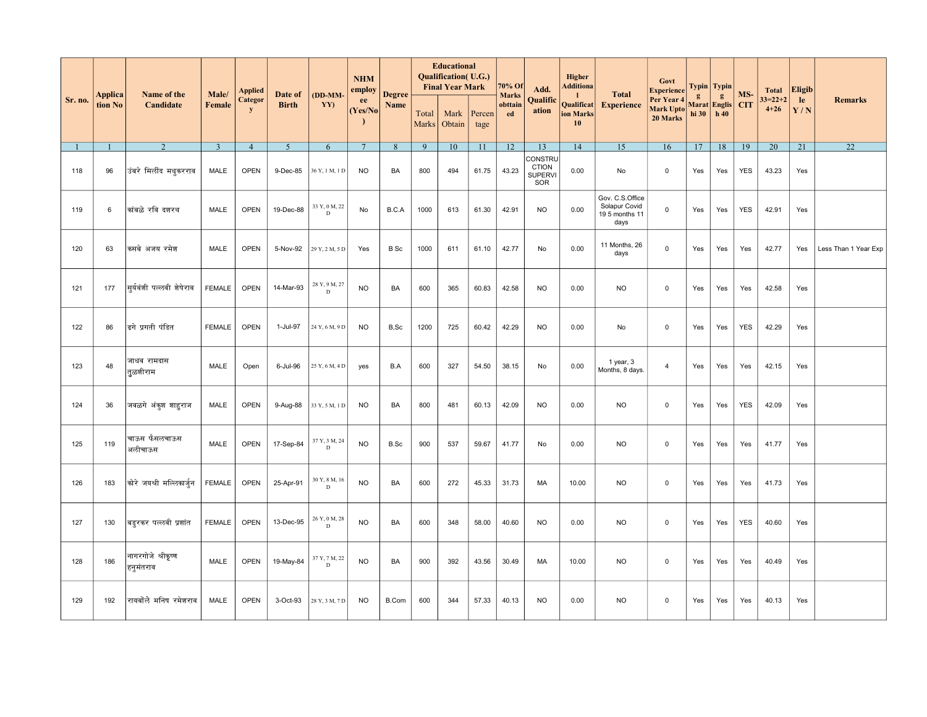|         |                    |                                 |                        | <b>Applied</b>              |                         |                               | <b>NHM</b><br>employ |                       |                | <b>Educational</b><br><b>Qualification</b> (U.G.)<br><b>Final Year Mark</b> |                | 70% Of                        | Add.                                             | Higher<br>Additiona                              |                                                            | Govt<br><b>Experience</b>                  |            | Typin   Typin            |                   | <b>Total</b>              | <b>Eligib</b> |                      |
|---------|--------------------|---------------------------------|------------------------|-----------------------------|-------------------------|-------------------------------|----------------------|-----------------------|----------------|-----------------------------------------------------------------------------|----------------|-------------------------------|--------------------------------------------------|--------------------------------------------------|------------------------------------------------------------|--------------------------------------------|------------|--------------------------|-------------------|---------------------------|---------------|----------------------|
| Sr. no. | Applica<br>tion No | Name of the<br>Candidate        | Male/<br><b>Female</b> | <b>Categor</b><br>${\bf y}$ | Date of<br><b>Birth</b> | (DD-MM-<br>YY)                | ee<br>(Yes/No)       | <b>Degree</b><br>Name | Total<br>Marks | Mark<br>Obtain                                                              | Percen<br>tage | <b>Marks</b><br>obttain<br>ed | Qualific<br>ation                                | -1<br>Qualificat<br>ion Marks<br>10 <sup>°</sup> | <b>Total</b><br><b>Experience</b>                          | Per Year 4<br><b>Mark Upto</b><br>20 Marks | g<br>hi 30 | g<br>Marat Englis<br>h40 | MS-<br><b>CIT</b> | $33 = 22 + 2$<br>$4 + 26$ | le<br>Y/N     | <b>Remarks</b>       |
|         |                    | 2                               | $\overline{3}$         | $\overline{4}$              | 5 <sup>5</sup>          | 6                             | $7\phantom{.0}$      | 8                     | 9              | 10                                                                          | 11             | 12                            | 13                                               | 14                                               | 15                                                         | 16                                         | 17         | 18                       | 19                | 20                        | 21            | 22                   |
| 118     | 96                 | उंबरे मिलींद मधुकरराव           | MALE                   | <b>OPEN</b>                 | 9-Dec-85                | 36 Y, 1 M, 1 D                | <b>NO</b>            | BA                    | 800            | 494                                                                         | 61.75          | 43.23                         | CONSTRU<br><b>CTION</b><br><b>SUPERVI</b><br>SOR | 0.00                                             | No                                                         | 0                                          | Yes        | Yes                      | <b>YES</b>        | 43.23                     | Yes           |                      |
| 119     | 6                  | कांबळे रवि दशरथ                 | MALE                   | <b>OPEN</b>                 | 19-Dec-88               | 33 Y, 0 M, 22<br>D            | No                   | B.C.A                 | 1000           | 613                                                                         | 61.30          | 42.91                         | <b>NO</b>                                        | 0.00                                             | Gov. C.S.Office<br>Solapur Covid<br>19 5 months 11<br>days | $\mathsf 0$                                | Yes        | Yes                      | <b>YES</b>        | 42.91                     | Yes           |                      |
| 120     | 63                 | कसबे अजय रमेश                   | MALE                   | <b>OPEN</b>                 | 5-Nov-92                | 29 Y, 2 M, 5 D                | Yes                  | <b>B</b> Sc           | 1000           | 611                                                                         | 61.10          | 42.77                         | No                                               | 0.00                                             | 11 Months, 26<br>days                                      | $\mathsf 0$                                | Yes        | Yes                      | Yes               | 42.77                     | Yes           | Less Than 1 Year Exp |
| 121     | 177                | सर्यवंशी पल्लवी शेषेराव         | <b>FEMALE</b>          | <b>OPEN</b>                 | 14-Mar-93               | 28 Y, 9 M, 27<br>$\mathbf D$  | <b>NO</b>            | BA                    | 600            | 365                                                                         | 60.83          | 42.58                         | <b>NO</b>                                        | 0.00                                             | <b>NO</b>                                                  | $\mathbf 0$                                | Yes        | Yes                      | Yes               | 42.58                     | Yes           |                      |
| 122     | 86                 | ढगे प्रगती पंडित                | <b>FEMALE</b>          | OPEN                        | 1-Jul-97                | 24 Y, 6 M, 9 D                | <b>NO</b>            | B,Sc                  | 1200           | 725                                                                         | 60.42          | 42.29                         | <b>NO</b>                                        | 0.00                                             | No                                                         | $\mathbf 0$                                | Yes        | Yes                      | <b>YES</b>        | 42.29                     | Yes           |                      |
| 123     | 48                 | जाधव रामदास<br>तूळशीराम         | MALE                   | Open                        | 6-Jul-96                | 25 Y, 6 M, 4 D                | yes                  | B.A                   | 600            | 327                                                                         | 54.50          | 38.15                         | No                                               | 0.00                                             | 1 year, 3<br>Months, 8 days.                               | $\overline{4}$                             | Yes        | Yes                      | Yes               | 42.15                     | Yes           |                      |
| 124     | 36                 | जवळगे अंकुश शाहराज              | <b>MALE</b>            | <b>OPEN</b>                 | 9-Aug-88                | 33 Y, 5 M, 1 D                | <b>NO</b>            | BA                    | 800            | 481                                                                         | 60.13          | 42.09                         | <b>NO</b>                                        | 0.00                                             | <b>NO</b>                                                  | $\mathsf 0$                                | Yes        | Yes                      | <b>YES</b>        | 42.09                     | Yes           |                      |
| 125     | 119                | चाऊस फैसलचाऊस<br>अलीचाऊस        | <b>MALE</b>            | <b>OPEN</b>                 | 17-Sep-84               | 37 Y, 3 M, 24<br>$\mathbf D$  | <b>NO</b>            | B.Sc                  | 900            | 537                                                                         | 59.67          | 41.77                         | No                                               | 0.00                                             | <b>NO</b>                                                  | $\mathbf 0$                                | Yes        | Yes                      | Yes               | 41.77                     | Yes           |                      |
| 126     | 183                | कोरे जयश्री मल्लिकार्जुन        | <b>FEMALE</b>          | <b>OPEN</b>                 | 25-Apr-91               | 30 Y, 8 M, 16<br>D            | <b>NO</b>            | BA                    | 600            | 272                                                                         | 45.33          | 31.73                         | MA                                               | 10.00                                            | <b>NO</b>                                                  | $\mathbf 0$                                | Yes        | Yes                      | Yes               | 41.73                     | Yes           |                      |
| 127     | 130                | बड्रकर पल्लवी प्रशांत           | FEMALE                 | OPEN                        | 13-Dec-95               | 26 Y, 0 M, 28<br><sup>D</sup> | <b>NO</b>            | BA                    | 600            | 348                                                                         | 58.00          | 40.60                         | <b>NO</b>                                        | 0.00                                             | <b>NO</b>                                                  | $\mathbf 0$                                | Yes        | Yes                      | <b>YES</b>        | 40.60                     | Yes           |                      |
| 128     | 186                | नागरगोजे श्रीकृष्ण<br>हनुमंतराव | MALE                   | <b>OPEN</b>                 | 19-May-84               | 37 Y, 7 M, 22<br>D            | <b>NO</b>            | BA                    | 900            | 392                                                                         | 43.56          | 30.49                         | MA                                               | 10.00                                            | <b>NO</b>                                                  | $\mathbf 0$                                | Yes        | Yes                      | Yes               | 40.49                     | Yes           |                      |
| 129     | 192                | रायबॉले मनिष रमेशराव            | MALE                   | <b>OPEN</b>                 | 3-Oct-93                | 28 Y, 3 M, 7 D                | <b>NO</b>            | B.Com                 | 600            | 344                                                                         | 57.33          | 40.13                         | <b>NO</b>                                        | 0.00                                             | <b>NO</b>                                                  | $\mathbf 0$                                | Yes        | Yes                      | Yes               | 40.13                     | Yes           |                      |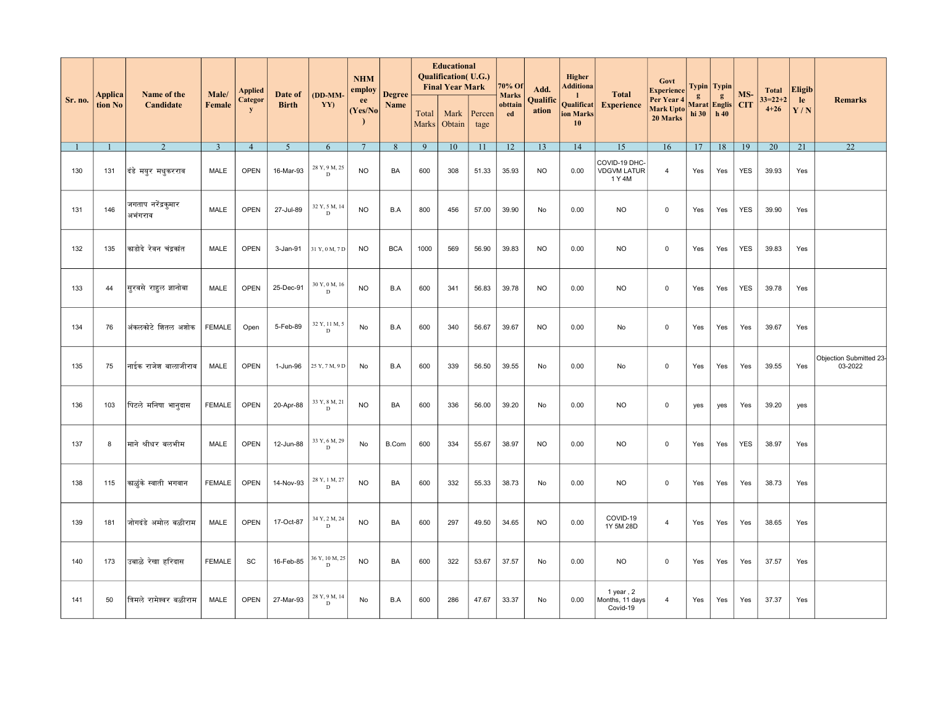|         |                    |                               |                 | <b>Applied</b>              |                         |                              | <b>NHM</b><br>employ |                       |                | <b>Educational</b><br><b>Qualification</b> (U.G.)<br><b>Final Year Mark</b> |                | 70% Of                        | Add.              | Higher<br><b>Additiona</b>          |                                               | Govt<br><b>Experience</b>                  |                           | Typin   Typin            |                   | <b>Total</b>              | <b>Eligib</b> |                                    |
|---------|--------------------|-------------------------------|-----------------|-----------------------------|-------------------------|------------------------------|----------------------|-----------------------|----------------|-----------------------------------------------------------------------------|----------------|-------------------------------|-------------------|-------------------------------------|-----------------------------------------------|--------------------------------------------|---------------------------|--------------------------|-------------------|---------------------------|---------------|------------------------------------|
| Sr. no. | Applica<br>tion No | Name of the<br>Candidate      | Male/<br>Female | <b>Categor</b><br>${\bf y}$ | Date of<br><b>Birth</b> | (DD-MM-<br>YY)               | ee<br>(Yes/No)       | <b>Degree</b><br>Name | Total<br>Marks | Mark<br>Obtain                                                              | Percen<br>tage | <b>Marks</b><br>obttain<br>ed | Qualific<br>ation | -1<br>Qualificat<br>ion Marks<br>10 | <b>Total</b><br><b>Experience</b>             | Per Year 4<br><b>Mark Upto</b><br>20 Marks | $\mathbf{g}$<br>hi 30 $ $ | g<br>Marat Englis<br>h40 | MS-<br><b>CIT</b> | $33 = 22 + 2$<br>$4 + 26$ | le<br>Y/N     | <b>Remarks</b>                     |
|         |                    | $\overline{2}$                | $\overline{3}$  | $\overline{4}$              | 5                       | 6                            | $\overline{7}$       | 8                     | 9              | 10                                                                          | 11             | 12                            | 13                | 14                                  | 15                                            | 16                                         | 17                        | 18                       | 19                | 20                        | 21            | 22                                 |
| 130     | 131                | दिडे मयूर मधुकरराव            | MALE            | <b>OPEN</b>                 | 16-Mar-93               | 28 Y, 9 M, 25<br>D           | <b>NO</b>            | BA                    | 600            | 308                                                                         | 51.33          | 35.93                         | <b>NO</b>         | 0.00                                | COVID-19 DHC-<br><b>VDGVM LATUR</b><br>1 Y 4M | $\overline{4}$                             | Yes                       | Yes                      | <b>YES</b>        | 39.93                     | Yes           |                                    |
| 131     | 146                | जगताप नरेंद्रकुमार<br>अभंगराव | <b>MALE</b>     | <b>OPEN</b>                 | 27-Jul-89               | 32 Y, 5 M, 14<br>$\mathbf D$ | <b>NO</b>            | B.A                   | 800            | 456                                                                         | 57.00          | 39.90                         | No                | 0.00                                | NO.                                           | $\Omega$                                   | Yes                       | Yes                      | <b>YES</b>        | 39.90                     | Yes           |                                    |
| 132     | 135                | काडोदे रेवन चंद्रकांत         | MALE            | <b>OPEN</b>                 | 3-Jan-91                | 31 Y, 0 M, 7 D               | <b>NO</b>            | <b>BCA</b>            | 1000           | 569                                                                         | 56.90          | 39.83                         | <b>NO</b>         | 0.00                                | <b>NO</b>                                     | $\mathbf 0$                                | Yes                       | Yes                      | <b>YES</b>        | 39.83                     | Yes           |                                    |
| 133     | 44                 | सूरवसे राहुल ज्ञानोबा         | MALE            | <b>OPEN</b>                 | 25-Dec-91               | $30$ Y, $0$ M, $16$<br>D     | <b>NO</b>            | B.A                   | 600            | 341                                                                         | 56.83          | 39.78                         | <b>NO</b>         | 0.00                                | <b>NO</b>                                     | $\mathbf 0$                                | Yes                       | Yes                      | <b>YES</b>        | 39.78                     | Yes           |                                    |
| 134     | 76                 | अंकलकोटे शितल अशोक            | <b>FEMALE</b>   | Open                        | 5-Feb-89                | 32 Y, 11 M, 5<br>D           | No                   | B.A                   | 600            | 340                                                                         | 56.67          | 39.67                         | <b>NO</b>         | 0.00                                | No                                            | $\mathbf 0$                                | Yes                       | Yes                      | Yes               | 39.67                     | Yes           |                                    |
| 135     | 75                 | नाईक राजेश बालाजीराव          | MALE            | <b>OPEN</b>                 | 1-Jun-96                | 25 Y, 7 M, 9 D               | No                   | B.A                   | 600            | 339                                                                         | 56.50          | 39.55                         | No                | 0.00                                | No                                            | $\mathbf 0$                                | Yes                       | Yes                      | Yes               | 39.55                     | Yes           | Objection Submitted 23-<br>03-2022 |
| 136     | 103                | पिटले मनिषा भानूदास           | <b>FEMALE</b>   | <b>OPEN</b>                 | 20-Apr-88               | 33 Y, 8 M, 21<br>D           | <b>NO</b>            | BA                    | 600            | 336                                                                         | 56.00          | 39.20                         | No                | 0.00                                | <b>NO</b>                                     | $\mathbf 0$                                | yes                       | yes                      | Yes               | 39.20                     | yes           |                                    |
| 137     | 8                  | माने श्रीधर बलभीम             | MALE            | <b>OPEN</b>                 | 12-Jun-88               | 33 Y, 6 M, 29<br>D           | No                   | B.Com                 | 600            | 334                                                                         | 55.67          | 38.97                         | <b>NO</b>         | 0.00                                | NO.                                           | $\mathbf 0$                                | Yes                       | Yes                      | <b>YES</b>        | 38.97                     | Yes           |                                    |
| 138     | 115                | काळुंके स्वाती भगवान          | <b>FEMALE</b>   | <b>OPEN</b>                 | 14-Nov-93               | 28 Y, 1 M, 27<br>D           | <b>NO</b>            | BA                    | 600            | 332                                                                         | 55.33          | 38.73                         | No                | 0.00                                | <b>NO</b>                                     | $\mathbf 0$                                | Yes                       | Yes                      | Yes               | 38.73                     | Yes           |                                    |
| 139     | 181                | जोगदंडे अमोल बळीराम           | MALE            | <b>OPEN</b>                 | 17-Oct-87               | 34 Y, 2 M, 24<br>D           | <b>NO</b>            | BA                    | 600            | 297                                                                         | 49.50          | 34.65                         | <b>NO</b>         | 0.00                                | COVID-19<br>1Y 5M 28D                         | $\overline{4}$                             | Yes                       | Yes                      | Yes               | 38.65                     | Yes           |                                    |
| 140     | 173                | उबाळे रेखा हरिदास             | <b>FEMALE</b>   | SC                          | 16-Feb-85               | 36 Y, 10 M, 25<br>D          | <b>NO</b>            | BA                    | 600            | 322                                                                         | 53.67          | 37.57                         | No                | 0.00                                | <b>NO</b>                                     | $\mathbf 0$                                | Yes                       | Yes                      | Yes               | 37.57                     | Yes           |                                    |
| 141     | 50                 | त्रिमले रामेश्वर बळीराम       | <b>MALE</b>     | <b>OPEN</b>                 | 27-Mar-93               | 28 Y, 9 M, 14<br>D           | No                   | B.A                   | 600            | 286                                                                         | 47.67          | 33.37                         | No                | 0.00                                | 1 year, $2$<br>Months, 11 days<br>Covid-19    | $\overline{4}$                             | Yes                       | Yes                      | Yes               | 37.37                     | Yes           |                                    |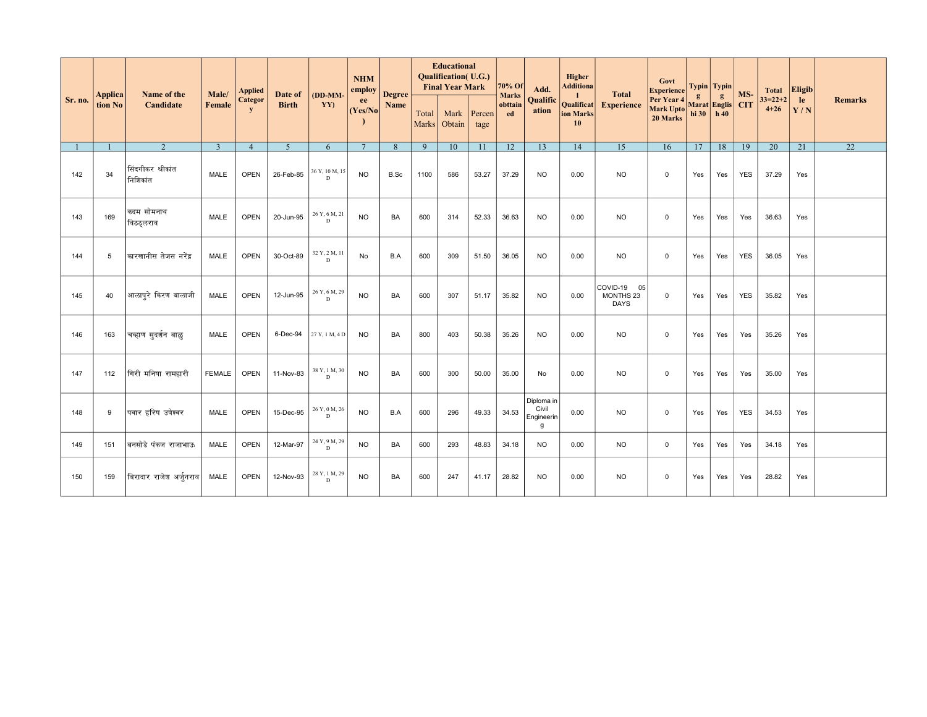| Sr. no. | <b>Applica</b><br>tion No | Name of the<br>Candidate      | Male/<br>Female | Applied<br>Categor<br>${\bf y}$ | Date of<br><b>Birth</b> | $(DD-MM-$<br>YY)                                               | <b>NHM</b><br>employ Degree<br>ee<br>(Yes/No) | Name      | <b>Educational</b><br><b>Qualification</b> (U.G.)<br><b>Final Year Mark</b> |                |                | $70\%$ Of<br><b>Marks</b> | Add.                                   | Higher<br><b>Additiona</b>                    | <b>Total</b>                               | Govt<br>Experience $\frac{1}{2}$ Typin $\frac{1}{2}$ Typin                 |     |     |            |                       | Total Eligib |                 |
|---------|---------------------------|-------------------------------|-----------------|---------------------------------|-------------------------|----------------------------------------------------------------|-----------------------------------------------|-----------|-----------------------------------------------------------------------------|----------------|----------------|---------------------------|----------------------------------------|-----------------------------------------------|--------------------------------------------|----------------------------------------------------------------------------|-----|-----|------------|-----------------------|--------------|-----------------|
|         |                           |                               |                 |                                 |                         |                                                                |                                               |           | Total<br><b>Marks</b>                                                       | Mark<br>Obtain | Percen<br>tage | obttain<br>ed <b>ed</b>   | Qualific<br>ation                      | $\mathbf{I}$<br>Qualificat<br>ion Marks<br>10 | <b>Experience</b>                          | Per Year 4<br>Mark Upto<br>Lank Upto<br>20 Marks hi 30<br>h 40<br>20 Marks |     |     |            | $33=22+2$<br>$4 + 26$ | le<br>Y/N    | <b>Remarks</b>  |
|         |                           | 2                             | $\overline{3}$  | $\overline{4}$                  | $\sim$                  | 6                                                              | $7\phantom{.0}$                               | 8         | $\mathbf{Q}$                                                                | 10             | 11             | $\overline{12}$           | 13                                     | 14                                            | 15                                         | 16                                                                         | 17  | 18  | 19         | $\overline{20}$       | 21           | $\overline{22}$ |
| 142     | 34                        | सिंदगीकर श्रीकांत<br>निशिकांत | <b>MALE</b>     | <b>OPEN</b>                     | 26-Feb-85               | 36 Y, 10 M, 15<br>D.                                           | <b>NO</b>                                     | B.Sc      | 1100                                                                        | 586            | 53.27          | 37.29                     | <b>NO</b>                              | 0.00                                          | <b>NO</b>                                  | $\mathbf{0}$                                                               | Yes | Yes | <b>YES</b> | 37.29                 | Yes          |                 |
| 143     | 169                       | कदम सोमनाथ<br>विठठ्लराव       | MALE            | <b>OPEN</b>                     | 20-Jun-95               | 26 Y, 6 M, 21<br>D                                             | <b>NO</b>                                     | BA        | 600                                                                         | 314            | 52.33          | 36.63                     | <b>NO</b>                              | 0.00                                          | <b>NO</b>                                  | $\overline{0}$                                                             | Yes | Yes | Yes        | 36.63                 | Yes          |                 |
| 144     | 5                         | कारखानीस तेजस नरेंद्र         | MALE            | <b>OPEN</b>                     | 30-Oct-89               | 32 Y, 2 M, 11<br>D.                                            | No                                            | B.A       | 600                                                                         | 309            | 51.50          | 36.05                     | <b>NO</b>                              | 0.00                                          | <b>NO</b>                                  | $\mathbf{0}$                                                               | Yes | Yes | <b>YES</b> | 36.05                 | Yes          |                 |
| 145     | 40                        | आलापुरे किरण बालाजी           | <b>MALE</b>     | <b>OPEN</b>                     | 12-Jun-95               | 26 Y, 6 M, 29<br>$\mathbf{D}$                                  | <b>NO</b>                                     | <b>BA</b> | 600                                                                         | 307            | 51.17          | 35.82                     | <b>NO</b>                              | 0.00                                          | COVID-19<br>05<br>MONTHS 23<br><b>DAYS</b> | $\overline{0}$                                                             | Yes | Yes | <b>YES</b> | 35.82                 | Yes          |                 |
| 146     | 163                       | चव्हाण सूदर्शन बाळू           | MALE            | <b>OPEN</b>                     | 6-Dec-94                | 27Y, 1M, 4D                                                    | <b>NO</b>                                     | BA        | 800                                                                         | 403            | 50.38          | 35.26                     | <b>NO</b>                              | 0.00                                          | <b>NO</b>                                  | $\mathbf{0}$                                                               | Yes | Yes | Yes        | 35.26                 | Yes          |                 |
| 147     | 112                       | गिरी मनिषा रामहारी            | <b>FEMALE</b>   | <b>OPEN</b>                     | 11-Nov-83               | 38 Y, 1 M, 30<br>D                                             | <b>NO</b>                                     | BA        | 600                                                                         | 300            | 50.00          | 35.00                     | No                                     | 0.00                                          | <b>NO</b>                                  | $\mathbf 0$                                                                | Yes | Yes | Yes        | 35.00                 | Yes          |                 |
| 148     | 9                         | पवार हरिष उत्रेश्वर           | <b>MALE</b>     | <b>OPEN</b>                     | 15-Dec-95               | 26 Y, 0 M, 26<br>D.                                            | <b>NO</b>                                     | B.A       | 600                                                                         | 296            | 49.33          | 34.53                     | Diploma in<br>Civil<br>Engineerin<br>g | 0.00                                          | <b>NO</b>                                  | $\mathbf{0}$                                                               | Yes | Yes | <b>YES</b> | 34.53                 | Yes          |                 |
| 149     | 151                       | बनसोडे पंकज राजाभाऊ           | <b>MALE</b>     | <b>OPEN</b>                     | 12-Mar-97               | 24 Y, 9 M, 29<br>$\mathbf{D}$                                  | <b>NO</b>                                     | BA        | 600                                                                         | 293            | 48.83          | 34.18                     | <b>NO</b>                              | 0.00                                          | <b>NO</b>                                  | $\mathbf 0$                                                                | Yes | Yes | Yes        | 34.18                 | Yes          |                 |
| 150     | 159                       | बिरादार राजेश अर्जनराव        | MALE            | <b>OPEN</b>                     | 12-Nov-93               | $\begin{array}{c} \text{28 Y, 1 M, 29}\\ \text{D} \end{array}$ | <b>NO</b>                                     | BA        | 600                                                                         | 247            | 41.17          | 28.82                     | <b>NO</b>                              | 0.00                                          | <b>NO</b>                                  | $\mathbf{0}$                                                               | Yes | Yes | Yes        | 28.82                 | Yes          |                 |